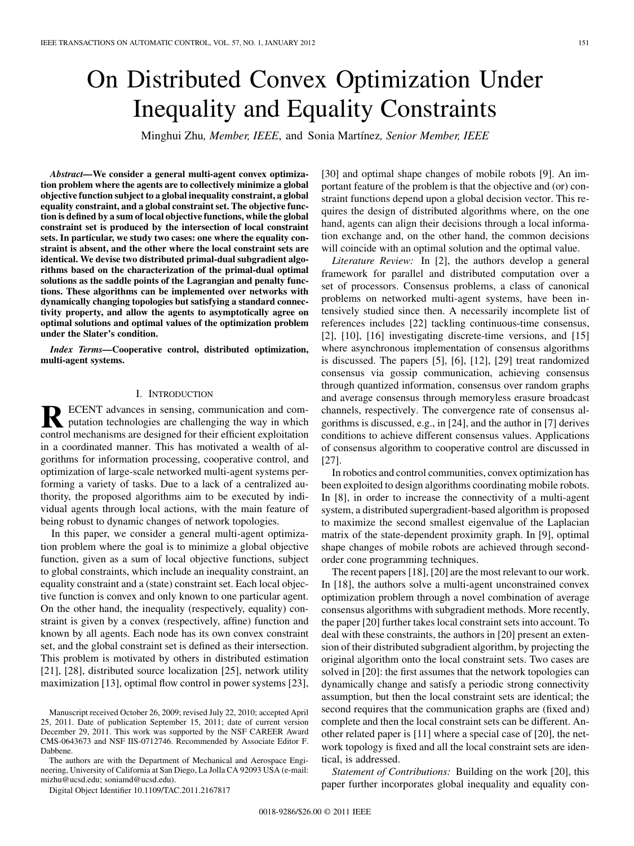# On Distributed Convex Optimization Under Inequality and Equality Constraints

Minghui Zhu*, Member, IEEE*, and Sonia Martínez*, Senior Member, IEEE*

*Abstract—***We consider a general multi-agent convex optimization problem where the agents are to collectively minimize a global objective function subject to a global inequality constraint, a global equality constraint, and a global constraint set. The objective function is defined by a sum of local objective functions, while the global constraint set is produced by the intersection of local constraint sets. In particular, we study two cases: one where the equality constraint is absent, and the other where the local constraint sets are identical. We devise two distributed primal-dual subgradient algorithms based on the characterization of the primal-dual optimal solutions as the saddle points of the Lagrangian and penalty functions. These algorithms can be implemented over networks with dynamically changing topologies but satisfying a standard connectivity property, and allow the agents to asymptotically agree on optimal solutions and optimal values of the optimization problem under the Slater's condition.**

*Index Terms—***Cooperative control, distributed optimization, multi-agent systems.**

# I. INTRODUCTION

**R** ECENT advances in sensing, communication and computation technologies are challenging the way in which control mechanisms are designed for their efficient exploitation in a coordinated manner. This has motivated a wealth of algorithms for information processing, cooperative control, and optimization of large-scale networked multi-agent systems performing a variety of tasks. Due to a lack of a centralized authority, the proposed algorithms aim to be executed by individual agents through local actions, with the main feature of being robust to dynamic changes of network topologies.

In this paper, we consider a general multi-agent optimization problem where the goal is to minimize a global objective function, given as a sum of local objective functions, subject to global constraints, which include an inequality constraint, an equality constraint and a (state) constraint set. Each local objective function is convex and only known to one particular agent. On the other hand, the inequality (respectively, equality) constraint is given by a convex (respectively, affine) function and known by all agents. Each node has its own convex constraint set, and the global constraint set is defined as their intersection. This problem is motivated by others in distributed estimation [21], [28], distributed source localization [25], network utility maximization [13], optimal flow control in power systems [23],

The authors are with the Department of Mechanical and Aerospace Engineering, University of California at San Diego, La Jolla CA 92093 USA (e-mail: mizhu@ucsd.edu; soniamd@ucsd.edu).

Digital Object Identifier 10.1109/TAC.2011.2167817

[30] and optimal shape changes of mobile robots [9]. An important feature of the problem is that the objective and (or) constraint functions depend upon a global decision vector. This requires the design of distributed algorithms where, on the one hand, agents can align their decisions through a local information exchange and, on the other hand, the common decisions will coincide with an optimal solution and the optimal value.

*Literature Review:* In [2], the authors develop a general framework for parallel and distributed computation over a set of processors. Consensus problems, a class of canonical problems on networked multi-agent systems, have been intensively studied since then. A necessarily incomplete list of references includes [22] tackling continuous-time consensus, [2], [10], [16] investigating discrete-time versions, and [15] where asynchronous implementation of consensus algorithms is discussed. The papers [5], [6], [12], [29] treat randomized consensus via gossip communication, achieving consensus through quantized information, consensus over random graphs and average consensus through memoryless erasure broadcast channels, respectively. The convergence rate of consensus algorithms is discussed, e.g., in [24], and the author in [7] derives conditions to achieve different consensus values. Applications of consensus algorithm to cooperative control are discussed in [27].

In robotics and control communities, convex optimization has been exploited to design algorithms coordinating mobile robots. In [8], in order to increase the connectivity of a multi-agent system, a distributed supergradient-based algorithm is proposed to maximize the second smallest eigenvalue of the Laplacian matrix of the state-dependent proximity graph. In [9], optimal shape changes of mobile robots are achieved through secondorder cone programming techniques.

The recent papers [18], [20] are the most relevant to our work. In [18], the authors solve a multi-agent unconstrained convex optimization problem through a novel combination of average consensus algorithms with subgradient methods. More recently, the paper [20] further takes local constraint sets into account. To deal with these constraints, the authors in [20] present an extension of their distributed subgradient algorithm, by projecting the original algorithm onto the local constraint sets. Two cases are solved in [20]: the first assumes that the network topologies can dynamically change and satisfy a periodic strong connectivity assumption, but then the local constraint sets are identical; the second requires that the communication graphs are (fixed and) complete and then the local constraint sets can be different. Another related paper is [11] where a special case of [20], the network topology is fixed and all the local constraint sets are identical, is addressed.

*Statement of Contributions:* Building on the work [20], this paper further incorporates global inequality and equality con-

Manuscript received October 26, 2009; revised July 22, 2010; accepted April 25, 2011. Date of publication September 15, 2011; date of current version December 29, 2011. This work was supported by the NSF CAREER Award CMS-0643673 and NSF IIS-0712746. Recommended by Associate Editor F. Dabbene.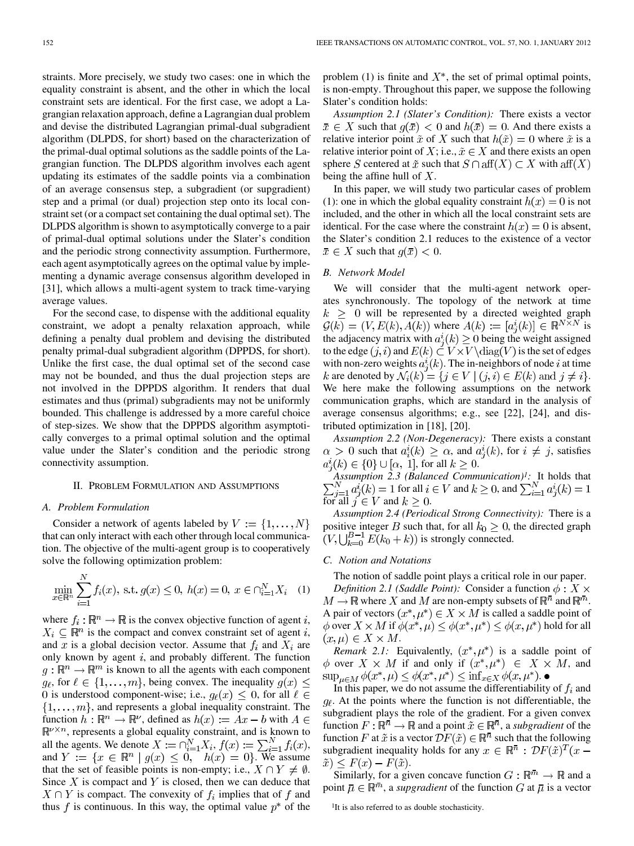straints. More precisely, we study two cases: one in which the equality constraint is absent, and the other in which the local constraint sets are identical. For the first case, we adopt a Lagrangian relaxation approach, define a Lagrangian dual problem and devise the distributed Lagrangian primal-dual subgradient algorithm (DLPDS, for short) based on the characterization of the primal-dual optimal solutions as the saddle points of the Lagrangian function. The DLPDS algorithm involves each agent updating its estimates of the saddle points via a combination of an average consensus step, a subgradient (or supgradient) step and a primal (or dual) projection step onto its local constraint set (or a compact set containing the dual optimal set). The DLPDS algorithm is shown to asymptotically converge to a pair of primal-dual optimal solutions under the Slater's condition and the periodic strong connectivity assumption. Furthermore, each agent asymptotically agrees on the optimal value by implementing a dynamic average consensus algorithm developed in [31], which allows a multi-agent system to track time-varying average values.

For the second case, to dispense with the additional equality constraint, we adopt a penalty relaxation approach, while defining a penalty dual problem and devising the distributed penalty primal-dual subgradient algorithm (DPPDS, for short). Unlike the first case, the dual optimal set of the second case may not be bounded, and thus the dual projection steps are not involved in the DPPDS algorithm. It renders that dual estimates and thus (primal) subgradients may not be uniformly bounded. This challenge is addressed by a more careful choice of step-sizes. We show that the DPPDS algorithm asymptotically converges to a primal optimal solution and the optimal value under the Slater's condition and the periodic strong connectivity assumption.

#### II. PROBLEM FORMULATION AND ASSUMPTIONS

#### *A. Problem Formulation*

Consider a network of agents labeled by  $V := \{1, \ldots, N\}$ that can only interact with each other through local communication. The objective of the multi-agent group is to cooperatively solve the following optimization problem:

$$
\min_{x \in \mathbb{R}^n} \sum_{i=1}^N f_i(x), \text{ s.t. } g(x) \le 0, \ h(x) = 0, \ x \in \cap_{i=1}^N X_i \quad (1)
$$

where  $f_i : \mathbb{R}^n \to \mathbb{R}$  is the convex objective function of agent i,  $X_i \subseteq \mathbb{R}^n$  is the compact and convex constraint set of agent i, and x is a global decision vector. Assume that  $f_i$  and  $X_i$  are only known by agent  $i$ , and probably different. The function  $g: \mathbb{R}^n \to \mathbb{R}^m$  is known to all the agents with each component  $g_{\ell}$ , for  $\ell \in \{1, ..., m\}$ , being convex. The inequality  $g(x) \leq$ 0 is understood component-wise; i.e.,  $g_{\ell}(x) \leq 0$ , for all  $\ell \in$  $\{1, \ldots, m\}$ , and represents a global inequality constraint. The function  $h : \mathbb{R}^n \to \mathbb{R}^{\nu}$ , defined as  $h(x) := Ax - b$  with  $A \in$  $\mathbb{R}^{\nu \times n}$ , represents a global equality constraint, and is known to all the agents. We denote  $X := \bigcap_{i=1}^{N} X_i$ ,  $f(x) := \sum_{i=1}^{N} f_i(x)$ , and  $Y := \{x \in \mathbb{R}^n \mid g(x) \leq 0, \quad h(x) = 0\}$ . We assume that the set of feasible points is non-empty; i.e.,  $X \cap Y \neq \emptyset$ . Since  $X$  is compact and  $Y$  is closed, then we can deduce that  $X \cap Y$  is compact. The convexity of  $f_i$  implies that of f and thus f is continuous. In this way, the optimal value  $p^*$  of the problem (1) is finite and  $X^*$ , the set of primal optimal points, is non-empty. Throughout this paper, we suppose the following Slater's condition holds:

*Assumption 2.1 (Slater's Condition):* There exists a vector  $\bar{x} \in X$  such that  $q(\bar{x}) < 0$  and  $h(\bar{x}) = 0$ . And there exists a relative interior point  $\tilde{x}$  of X such that  $h(\tilde{x}) = 0$  where  $\tilde{x}$  is a relative interior point of X; i.e.,  $\tilde{x} \in X$  and there exists an open sphere S centered at  $\tilde{x}$  such that  $S \cap \text{aff}(X) \subset X$  with  $\text{aff}(X)$ being the affine hull of  $X$ .

In this paper, we will study two particular cases of problem (1): one in which the global equality constraint  $h(x) = 0$  is not included, and the other in which all the local constraint sets are identical. For the case where the constraint  $h(x) = 0$  is absent, the Slater's condition 2.1 reduces to the existence of a vector  $\bar{x} \in X$  such that  $g(\bar{x}) < 0$ .

#### *B. Network Model*

We will consider that the multi-agent network operates synchronously. The topology of the network at time  $k \geq 0$  will be represented by a directed weighted graph  $\mathcal{G}(k) = (V, E(k), A(k))$  where  $A(k) := [a_i^i(k)] \in \mathbb{R}^{N \times N}$  is the adjacency matrix with  $a_i^i(k) \geq 0$  being the weight assigned to the edge  $(j, i)$  and  $E(k) \subset V \times V \setminus diag(V)$  is the set of edges with non-zero weights  $a_i^i(k)$ . The in-neighbors of node i at time k are denoted by  $\mathcal{N}_i(k) = \{j \in V \mid (j,i) \in E(k) \text{ and } j \neq i\}.$ We here make the following assumptions on the network communication graphs, which are standard in the analysis of average consensus algorithms; e.g., see [22], [24], and distributed optimization in [18], [20].

*Assumption 2.2 (Non-Degeneracy):* There exists a constant  $\alpha > 0$  such that  $a_i^i(k) \geq \alpha$ , and  $a_i^i(k)$ , for  $i \neq j$ , satisfies  $a_i^i(k) \in \{0\} \cup [\alpha, 1]$ , for all  $k \geq 0$ .

*Assumption 2.3 (Balanced Communication)1:* It holds that for all  $i \in V$  and  $k \geq 0$ , and for all  $j \in V$  and  $k \geq 0$ .

*Assumption 2.4 (Periodical Strong Connectivity):* There is a positive integer B such that, for all  $k_0 \geq 0$ , the directed graph  $\left(V,\bigcup_{k=0}^{B-1} E(k_0+k)\right)$  is strongly connected.

## *C. Notion and Notations*

The notion of saddle point plays a critical role in our paper.

*Definition 2.1 (Saddle Point):* Consider a function  $\phi$  :  $X \times$  $M \to \mathbb{R}$  where X and M are non-empty subsets of  $\mathbb{R}^{\bar{n}}$  and  $\mathbb{R}^{\bar{m}}$ . A pair of vectors  $(x^*, \mu^*) \in X \times M$  is called a saddle point of  $\phi$  over  $X \times M$  if  $\phi(x^*, \mu) \leq \phi(x^*, \mu^*) \leq \phi(x, \mu^*)$  hold for all  $(x,\mu) \in X \times M$ .

*Remark 2.1:* Equivalently,  $(x^*, \mu^*)$  is a saddle point of  $\phi$  over  $X \times M$  if and only if  $(x^*, \mu^*) \in X \times M$ , and  $\sup_{\mu \in M} \phi(x^*, \mu) \leq \phi(x^*, \mu^*) \leq \inf_{x \in X} \phi(x, \mu^*)$ .

In this paper, we do not assume the differentiability of  $f_i$  and  $g_{\ell}$ . At the points where the function is not differentiable, the subgradient plays the role of the gradient. For a given convex function  $F: \mathbb{R}^{\bar{n}} \to \mathbb{R}$  and a point  $\tilde{x} \in \mathbb{R}^{\bar{n}}$ , a *subgradient* of the function F at  $\tilde{x}$  is a vector  $\mathcal{D}F(\tilde{x}) \in \mathbb{R}^{\bar{n}}$  such that the following subgradient inequality holds for any  $x \in \mathbb{R}^n : \mathcal{D}F(\tilde{x})^T(x \tilde{x}$ ) <  $F(x) - F(\tilde{x})$ .

Similarly, for a given concave function  $G : \mathbb{R}^m \to \mathbb{R}$  and a point  $\bar{\mu} \in \mathbb{R}^{\bar{m}}$ , a *supgradient* of the function G at  $\bar{\mu}$  is a vector

<sup>1</sup>It is also referred to as double stochasticity.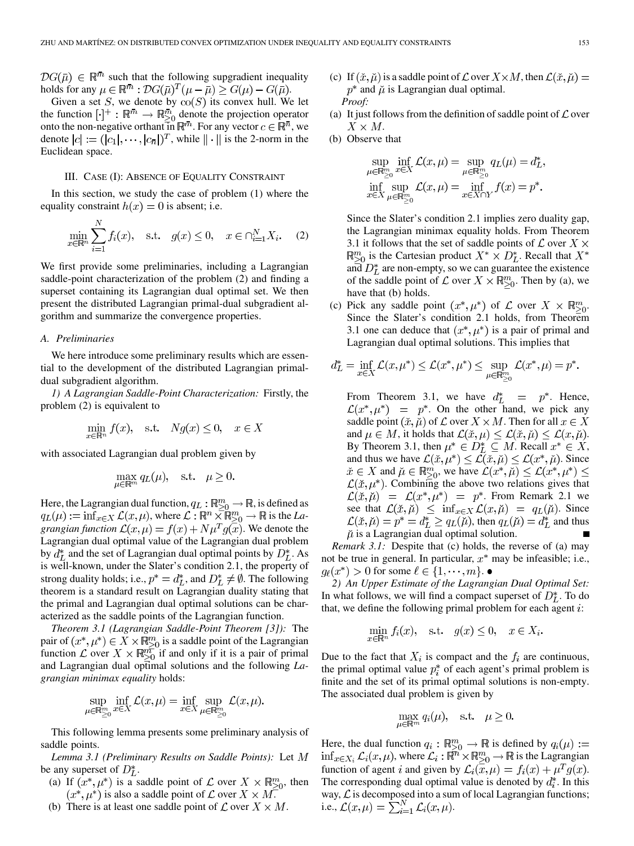$DG(\bar{\mu}) \in \mathbb{R}^{\bar{m}}$  such that the following supgradient inequality holds for any  $\mu \in \mathbb{R}^{\bar{m}}$ :  $\mathcal{D}G(\bar{\mu})^T(\mu - \bar{\mu}) \geq G(\mu) - G(\bar{\mu}).$ 

Given a set S, we denote by  $co(S)$  its convex hull. We let the function  $[\cdot]^+ : \mathbb{R}^{\bar{m}} \to \mathbb{R}_{\geq 0}^{\bar{m}}$  denote the projection operator onto the non-negative orthant in  $\mathbb{R}^{\bar{m}}$ . For any vector  $c \in \mathbb{R}^{\bar{n}}$ , we denote  $|c| := (|c_1|, \dots, |c_{\overline{n}}|)^T$ , while  $\|\cdot\|$  is the 2-norm in the Euclidean space.

#### III. CASE (I): ABSENCE OF EQUALITY CONSTRAINT

In this section, we study the case of problem (1) where the equality constraint  $h(x) = 0$  is absent; i.e.

$$
\min_{x \in \mathbb{R}^n} \sum_{i=1}^N f_i(x), \quad \text{s.t.} \quad g(x) \le 0, \quad x \in \bigcap_{i=1}^N X_i. \tag{2}
$$

We first provide some preliminaries, including a Lagrangian saddle-point characterization of the problem (2) and finding a superset containing its Lagrangian dual optimal set. We then present the distributed Lagrangian primal-dual subgradient algorithm and summarize the convergence properties.

#### *A. Preliminaries*

We here introduce some preliminary results which are essential to the development of the distributed Lagrangian primaldual subgradient algorithm.

*1) A Lagrangian Saddle-Point Characterization:* Firstly, the problem (2) is equivalent to

$$
\min_{x \in \mathbb{R}^n} f(x), \quad \text{s.t.} \quad Ng(x) \le 0, \quad x \in X
$$

with associated Lagrangian dual problem given by

$$
\max_{\mu \in \mathbb{R}^m} q_L(\mu), \quad \text{s.t.} \quad \mu \ge 0.
$$

Here, the Lagrangian dual function,  $q_L : \mathbb{R}_{\geq 0}^m \to \mathbb{R}$ , is defined as  $q_L(\mu) := \inf_{x \in X} \mathcal{L}(x, \mu)$ , where  $\mathcal{L}: \mathbb{R}^n \times \mathbb{R}^m_{\geq 0} \to \mathbb{R}$  is the La*grangian function*  $\mathcal{L}(x,\mu) = f(x) + N\mu^{T}g(x)$ . We denote the Lagrangian dual optimal value of the Lagrangian dual problem by  $d_L^*$  and the set of Lagrangian dual optimal points by  $D_L^*$ . As is well-known, under the Slater's condition 2.1, the property of strong duality holds; i.e.,  $p^* = d_L^*$ , and  $D_L^* \neq \emptyset$ . The following theorem is a standard result on Lagrangian duality stating that the primal and Lagrangian dual optimal solutions can be characterized as the saddle points of the Lagrangian function.

*Theorem 3.1 (Lagrangian Saddle-Point Theorem [3]):* The pair of  $(x^*, \mu^*) \in X \times \mathbb{R}_{\geq 0}^m$  is a saddle point of the Lagrangian function  $\mathcal L$  over  $X \times \mathbb R_{\geq 0}^m$  if and only if it is a pair of primal and Lagrangian dual optimal solutions and the following La*grangian minimax equality* holds:

$$
\sup_{\mu \in \mathbb{R}_{\geq 0}^m} \inf_{x \in X} \mathcal{L}(x, \mu) = \inf_{x \in X} \sup_{\mu \in \mathbb{R}_{\geq 0}^m} \mathcal{L}(x, \mu).
$$

This following lemma presents some preliminary analysis of saddle points.

*Lemma 3.1 (Preliminary Results on Saddle Points):* Let be any superset of  $D_L^*$ .

- (a) If  $(x^*, \mu^*)$  is a saddle point of  $\mathcal L$  over  $X \times \mathbb R^m_{\geq 0}$ , then  $(x^*, \mu^*)$  is also a saddle point of  $\mathcal L$  over  $X \times M$ .
- (b) There is at least one saddle point of  $\mathcal L$  over  $X \times M$ .
- (c) If  $(\check{x}, \check{\mu})$  is a saddle point of  $\mathcal L$  over  $X \times M$ , then  $\mathcal L(\check{x}, \check{\mu}) =$  $p^*$  and  $\tilde{\mu}$  is Lagrangian dual optimal. *Proof:*
- (a) It just follows from the definition of saddle point of  $\mathcal L$  over  $X \times M$ .
- (b) Observe that

$$
\sup_{\mu \in \mathbb{R}_{\geq 0}^m} \inf_{x \in X} \mathcal{L}(x, \mu) = \sup_{\mu \in \mathbb{R}_{\geq 0}^m} q_L(\mu) = d_L^*,
$$
  

$$
\inf_{x \in X} \sup_{\mu \in \mathbb{R}_{\geq 0}^m} \mathcal{L}(x, \mu) = \inf_{x \in X \cap Y} f(x) = p^*.
$$

Since the Slater's condition 2.1 implies zero duality gap, the Lagrangian minimax equality holds. From Theorem 3.1 it follows that the set of saddle points of  $\mathcal L$  over  $X \times$  $\mathbb{R}_{\geq 0}^m$  is the Cartesian product  $X^* \times D_L^*$ . Recall that  $X^*$ and  $D_L^*$  are non-empty, so we can guarantee the existence of the saddle point of  $\mathcal L$  over  $X\times \mathbb R_{>0}^m$ . Then by (a), we have that (b) holds.

(c) Pick any saddle point  $(x^*, \mu^*)$  of  $\mathcal L$  over  $X \times \mathbb{R}_{>0}^m$ . Since the Slater's condition 2.1 holds, from Theorem 3.1 one can deduce that  $(x^*, \mu^*)$  is a pair of primal and Lagrangian dual optimal solutions. This implies that

$$
d_L^* = \inf_{x \in X} \mathcal{L}(x, \mu^*) \le \mathcal{L}(x^*, \mu^*) \le \sup_{\mu \in \mathbb{R}_{\ge 0}^m} \mathcal{L}(x^*, \mu) = p^*.
$$

From Theorem 3.1, we have  $d_L^* = p^*$ . Hence,  $\mathcal{L}(x^*, \mu^*)$  =  $p^*$ . On the other hand, we pick any saddle point  $(\check{x}, \check{\mu})$  of  $\mathcal L$  over  $X \times M$ . Then for all  $x \in X$ and  $\mu \in M$ , it holds that  $\mathcal{L}(\check{x}, \mu) \leq \mathcal{L}(\check{x}, \check{\mu}) \leq \mathcal{L}(x, \check{\mu})$ . By Theorem 3.1, then  $\mu^* \in D_L^* \subseteq M$ . Recall  $x^* \in X$ , and thus we have  $\mathcal{L}(\check{x}, \mu^*) \leq \tilde{\mathcal{L}}(\check{x}, \check{\mu}) \leq \mathcal{L}(x^*, \check{\mu})$ . Since  $\check{x} \in X$  and  $\check{\mu} \in \mathbb{R}^m_{\geq 0}$ , we have  $\mathcal{L}(x^*, \check{\mu}) \leq \mathcal{L}(x^*, \mu^*) \leq$  $\mathcal{L}(\check{x}, \mu^*)$ . Combining the above two relations gives that  $\mathcal{L}(\check{x}, \check{\mu}) = \mathcal{L}(x^*, \mu^*) = p^*$ . From Remark 2.1 we see that  $\mathcal{L}(\check{x}, \check{\mu}) \leq \inf_{x \in X} \mathcal{L}(x, \check{\mu}) = q_L(\check{\mu})$ . Since  $\mathcal{L}(\check{x}, \check{\mu}) = p^* = d_L^* \ge q_L(\check{\mu})$ , then  $q_L(\check{\mu}) = d_L^*$  and thus  $\tilde{\mu}$  is a Lagrangian dual optimal solution.

*Remark 3.1:* Despite that (c) holds, the reverse of (a) may not be true in general. In particular,  $x^*$  may be infeasible; i.e.,  $g_{\ell}(x^*) > 0$  for some  $\ell \in \{1, \dots, m\}$ .

*2) An Upper Estimate of the Lagrangian Dual Optimal Set:* In what follows, we will find a compact superset of  $D_L^*$ . To do that, we define the following primal problem for each agent  $i$ :

$$
\min_{x \in \mathbb{R}^n} f_i(x), \quad \text{s.t.} \quad g(x) \le 0, \quad x \in X_i.
$$

Due to the fact that  $X_i$  is compact and the  $f_i$  are continuous, the primal optimal value  $p_i^*$  of each agent's primal problem is finite and the set of its primal optimal solutions is non-empty. The associated dual problem is given by

$$
\max_{\mu \in \mathbb{R}^m} q_i(\mu), \quad \text{s.t.} \quad \mu \ge 0.
$$

Here, the dual function  $q_i : \mathbb{R}_{\geq 0}^m \to \mathbb{R}$  is defined by  $q_i(\mu) :=$  $\inf_{x \in X_i} \mathcal{L}_i(x,\mu)$ , where  $\mathcal{L}_i : \mathbb{R}^n \times \mathbb{R}^m_{>0} \to \mathbb{R}$  is the Lagrangian function of agent i and given by  $\mathcal{L}_i(x,\mu) = f_i(x) + \mu^T g(x)$ . The corresponding dual optimal value is denoted by  $d_i^*$ . In this way,  $\mathcal L$  is decomposed into a sum of local Lagrangian functions; i.e.,  $\mathcal{L}(x,\mu) = \sum_{i=1}^N \mathcal{L}_i(x,\mu)$ .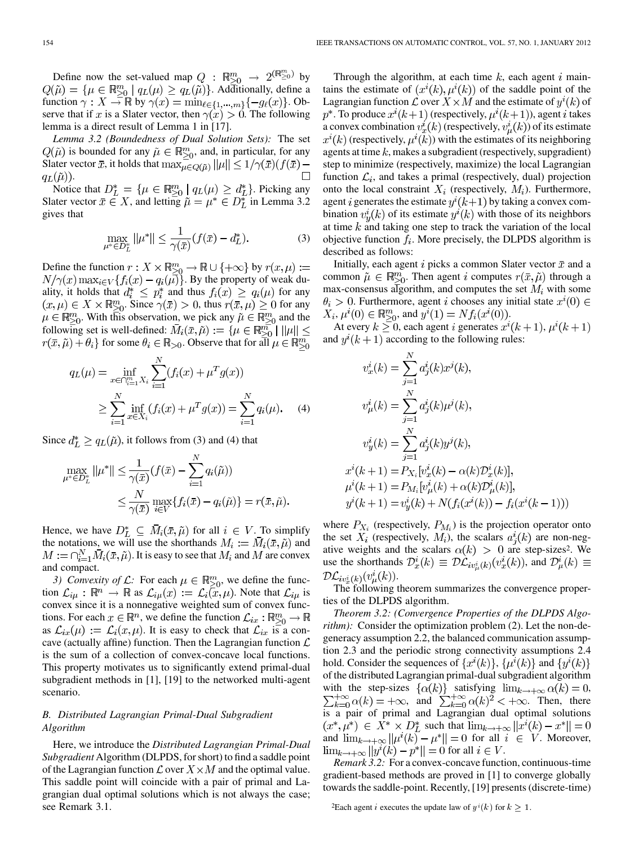Define now the set-valued map  $Q : \mathbb{R}_{\geq 0}^m \to 2^{(\mathbb{R}_{\geq 0}^n)}$  by . Additionally, define a function  $\gamma : X \to \mathbb{R}$  by  $\gamma(x) = \min_{\ell \in \{1, \dots, m\}} \{-g_{\ell}(x)\}.$  Observe that if x is a Slater vector, then  $\gamma(x) > 0$ . The following lemma is a direct result of Lemma 1 in [17].

*Lemma 3.2 (Boundedness of Dual Solution Sets):* The set  $Q(\tilde{\mu})$  is bounded for any  $\tilde{\mu} \in \mathbb{R}_{\geq 0}^m$ , and, in particular, for any Slater vector  $\bar{x}$ , it holds that  $\max_{\mu \in Q(\tilde{\mu})} ||\mu|| \leq 1/\gamma(\bar{x})(f(\bar{x})$  $q_L(\tilde{\mu})$ ). П

Notice that  $D_L^* = {\mu \in \mathbb{R}_{\geq 0}^m \mid q_L(\mu) \geq d_L^*}$ . Picking any Slater vector  $\bar{x} \in X$ , and letting  $\tilde{\mu} = \mu^* \in D_L^*$  in Lemma 3.2 gives that

$$
\max_{\mu^* \in D_L^*} ||\mu^*|| \le \frac{1}{\gamma(\bar{x})} (f(\bar{x}) - d_L^*).
$$
 (3)

Define the function  $r: X \times \mathbb{R}_{\geq 0}^m \to \mathbb{R} \cup \{+\infty\}$  by  $r(x,\mu) :=$  $N/\gamma(x)$   $\max_{i \in V} \{f_i(x) - q_i(\mu)\}\)$ . By the property of weak duality, it holds that  $d_i^* \leq p_i^*$  and thus  $f_i(x) \geq q_i(\mu)$  for any  $(x,\mu) \in X \times \mathbb{R}_{\geq 0}^m$ . Since  $\gamma(\bar{x}) > 0$ , thus  $r(\bar{x}, \mu) \geq 0$  for any  $\mu \in \mathbb{R}_{\geq 0}^m$ . With this observation, we pick any  $\tilde{\mu} \in \mathbb{R}_{\geq 0}^m$  and the following set is well-defined:  $\overline{M}_i(\overline{x}, \tilde{\mu}) := \{ \mu \in \mathbb{R}^m_{\geq 0} \mid ||\mu|| \leq \overline{M}_i\}$  $f(\bar{x}, \tilde{\mu}) + \theta_i$  for some  $\theta_i \in \mathbb{R}_{>0}$ . Observe that for all  $\mu \in \mathbb{R}_{>0}^m$ 

$$
q_L(\mu) = \inf_{x \in \bigcap_{i=1}^m X_i} \sum_{i=1}^N (f_i(x) + \mu^T g(x))
$$
  
 
$$
\geq \sum_{i=1}^N \inf_{x \in X_i} (f_i(x) + \mu^T g(x)) = \sum_{i=1}^N q_i(\mu).
$$
 (4)

Since  $d_L^* \ge q_L(\tilde{\mu})$ , it follows from (3) and (4) that

$$
\max_{\mu^* \in D_L^*} ||\mu^*|| \leq \frac{1}{\gamma(\bar{x})} (f(\bar{x}) - \sum_{i=1}^N q_i(\tilde{\mu}))
$$
  

$$
\leq \frac{N}{\gamma(\bar{x})} \max_{i \in V} \{f_i(\bar{x}) - q_i(\tilde{\mu})\} = r(\bar{x}, \tilde{\mu}).
$$

Hence, we have  $D_L^* \subseteq \overline{M}_i(\overline{x}, \tilde{\mu})$  for all  $i \in V$ . To simplify the notations, we will use the shorthands  $M_i := \overline{M}_i(\overline{x}, \tilde{\mu})$  and  $M := \bigcap_{i=1}^{N} M_i(\bar{x}, \tilde{\mu})$ . It is easy to see that  $M_i$  and M are convex and compact.

*3) Convexity of*  $\mathcal{L}$ *:* For each  $\mu \in \mathbb{R}_{>0}^m$ , we define the function  $\mathcal{L}_{i\mu}: \mathbb{R}^n \to \mathbb{R}$  as  $\mathcal{L}_{i\mu}(x) := \mathcal{L}_i(x,\mu)$ . Note that  $\mathcal{L}_{i\mu}$  is convex since it is a nonnegative weighted sum of convex functions. For each  $x \in \mathbb{R}^n$ , we define the function  $\mathcal{L}_{ix} : \mathbb{R}_{\geq 0}^m \to \mathbb{R}$ as  $\mathcal{L}_{ix}(\mu) := \mathcal{L}_i(x, \mu)$ . It is easy to check that  $\mathcal{L}_{ix}$  is a concave (actually affine) function. Then the Lagrangian function  $\mathcal L$ is the sum of a collection of convex-concave local functions. This property motivates us to significantly extend primal-dual subgradient methods in [1], [19] to the networked multi-agent scenario.

# *B. Distributed Lagrangian Primal-Dual Subgradient Algorithm*

Here, we introduce the *Distributed Lagrangian Primal-Dual Subgradient* Algorithm (DLPDS, for short) to find a saddle point of the Lagrangian function  $\mathcal L$  over  $X \times M$  and the optimal value. This saddle point will coincide with a pair of primal and Lagrangian dual optimal solutions which is not always the case; see Remark 3.1.

Through the algorithm, at each time  $k$ , each agent  $i$  maintains the estimate of  $(x^{i}(k), \mu^{i}(k))$  of the saddle point of the Lagrangian function  $\mathcal L$  over  $X \times M$  and the estimate of  $y^{i}(k)$  of  $p^*$ . To produce  $x^i(k+1)$  (respectively,  $\mu^i(k+1)$ ), agent i takes a convex combination  $v_x^i(k)$  (respectively,  $v_u^i(k)$ ) of its estimate  $x^{i}(k)$  (respectively,  $\mu^{i}(k)$ ) with the estimates of its neighboring agents at time  $k$ , makes a subgradient (respectively, supgradient) step to minimize (respectively, maximize) the local Lagrangian function  $\mathcal{L}_i$ , and takes a primal (respectively, dual) projection onto the local constraint  $X_i$  (respectively,  $M_i$ ). Furthermore, agent i generates the estimate  $y^{i}(k+1)$  by taking a convex combination  $v_n^i(k)$  of its estimate  $y^i(k)$  with those of its neighbors at time  $k$  and taking one step to track the variation of the local objective function  $f_i$ . More precisely, the DLPDS algorithm is described as follows:

Initially, each agent i picks a common Slater vector  $\bar{x}$  and a common  $\tilde{\mu} \in \mathbb{R}_{\geq 0}^m$ . Then agent i computes  $r(\bar{x}, \tilde{\mu})$  through a max-consensus algorithm, and computes the set  $M_i$  with some  $\theta_i > 0$ . Furthermore, agent i chooses any initial state  $x^i(0) \in$  $X_i, \mu^i(0) \in \mathbb{R}_{\geq 0}^m$ , and  $y^i(1) = Nf_i(x^i(0)).$ 

At every  $k \geq 0$ , each agent i generates  $x^{i}(k+1)$ ,  $\mu^{i}(k+1)$ and  $y^{i}(k+1)$  according to the following rules:

$$
v_x^i(k) = \sum_{j=1}^N a_j^i(k)x^j(k),
$$
  
\n
$$
v_\mu^i(k) = \sum_{j=1}^N a_j^i(k)\mu^j(k),
$$
  
\n
$$
v_y^i(k) = \sum_{j=1}^N a_j^i(k)y^j(k),
$$
  
\n
$$
x^i(k+1) = P_{X_i}[v_x^i(k) - \alpha(k)\mathcal{D}_x^i(k)],
$$
  
\n
$$
\mu^i(k+1) = P_{M_i}[v_\mu^i(k) + \alpha(k)\mathcal{D}_\mu^i(k)],
$$
  
\n
$$
y^i(k+1) = v_y^i(k) + N(f_i(x^i(k)) - f_i(x^i(k-1)))
$$

where  $P_{X_i}$  (respectively,  $P_{M_i}$ ) is the projection operator onto the set  $X_i$  (respectively,  $M_i$ ), the scalars  $a_i^i(k)$  are non-negative weights and the scalars  $\alpha(k) > 0$  are step-sizes<sup>2</sup>. We use the shorthands  $\mathcal{D}_x^i(k) \equiv \mathcal{D}\mathcal{L}_{iv_x^i(k)}(v_x^i(k))$ , and  $\mathcal{D}_\mu^i(k) \equiv$  $\mathcal{DL}_{iv_{\mu}^i(k)}(v_{\mu}^i(k)).$ 

The following theorem summarizes the convergence properties of the DLPDS algorithm.

*Theorem 3.2: (Convergence Properties of the DLPDS Algorithm):* Consider the optimization problem (2). Let the non-degeneracy assumption 2.2, the balanced communication assumption 2.3 and the periodic strong connectivity assumptions 2.4 hold. Consider the sequences of  $\{x^{i}(k)\}, \{\mu^{i}(k)\}\$  and  $\{y^{i}(k)\}\$ of the distributed Lagrangian primal-dual subgradient algorithm with the step-sizes  $\{\alpha(k)\}\$  satisfying  $\lim_{k\to+\infty} \alpha(k) = 0$ , , and  $\sum_{k=0}^{+\infty} \alpha(k)^2 < +\infty$ . Then, there is a pair of primal and Lagrangian dual optimal solutions  $(s^*, \mu^*) \in X^* \times D_L^*$  such that  $\lim_{k \to +\infty} ||x^i(k) - x^*|| = 0$ and  $\lim_{k \to +\infty} ||\mu^{i}(k) - \mu^{*}|| = 0$  for all  $i \in V$ . Moreover,  $\lim_{k\to+\infty}||y^i(k)-p^*||=0$  for all  $i\in V$ .

*Remark 3.2:* For a convex-concave function, continuous-time gradient-based methods are proved in [1] to converge globally towards the saddle-point. Recently, [19] presents (discrete-time)

<sup>2</sup>Each agent *i* executes the update law of  $y^{i}(k)$  for  $k \geq 1$ .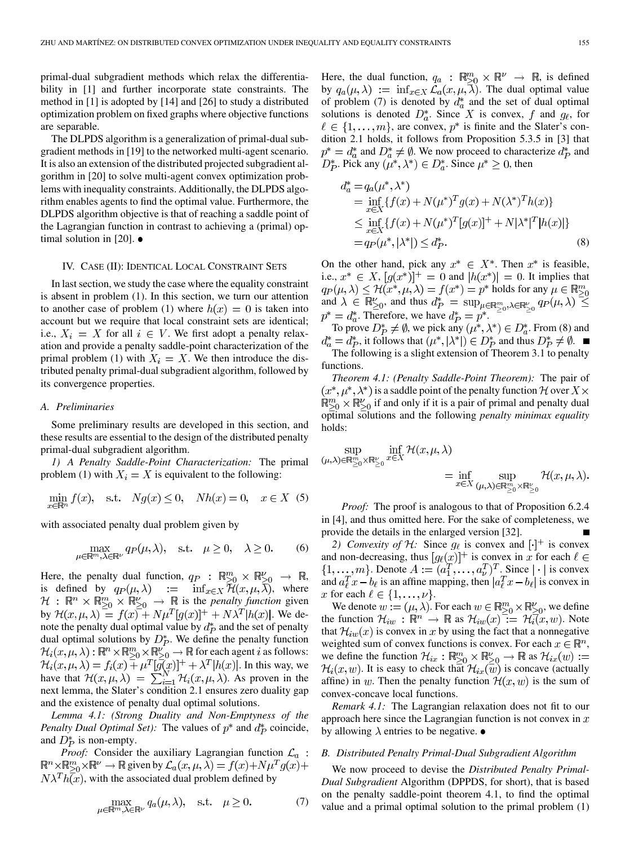primal-dual subgradient methods which relax the differentiability in [1] and further incorporate state constraints. The method in [1] is adopted by [14] and [26] to study a distributed optimization problem on fixed graphs where objective functions are separable.

The DLPDS algorithm is a generalization of primal-dual subgradient methods in [19] to the networked multi-agent scenario. It is also an extension of the distributed projected subgradient algorithm in [20] to solve multi-agent convex optimization problems with inequality constraints. Additionally, the DLPDS algorithm enables agents to find the optimal value. Furthermore, the DLPDS algorithm objective is that of reaching a saddle point of the Lagrangian function in contrast to achieving a (primal) optimal solution in [20].  $\bullet$ 

## IV. CASE (II): IDENTICAL LOCAL CONSTRAINT SETS

In last section, we study the case where the equality constraint is absent in problem (1). In this section, we turn our attention to another case of problem (1) where  $h(x) = 0$  is taken into account but we require that local constraint sets are identical; i.e.,  $X_i = X$  for all  $i \in V$ . We first adopt a penalty relaxation and provide a penalty saddle-point characterization of the primal problem (1) with  $X_i = X$ . We then introduce the distributed penalty primal-dual subgradient algorithm, followed by its convergence properties.

#### *A. Preliminaries*

Some preliminary results are developed in this section, and these results are essential to the design of the distributed penalty primal-dual subgradient algorithm.

*1) A Penalty Saddle-Point Characterization:* The primal problem (1) with  $X_i = X$  is equivalent to the following:

$$
\min_{x \in \mathbb{R}^n} f(x), \quad \text{s.t.} \quad Ng(x) \le 0, \quad Nh(x) = 0, \quad x \in X \tag{5}
$$

with associated penalty dual problem given by

$$
\max_{\mu \in \mathbb{R}^m, \lambda \in \mathbb{R}^\nu} q_P(\mu, \lambda), \quad \text{s.t.} \quad \mu \ge 0, \quad \lambda \ge 0. \tag{6}
$$

Here, the penalty dual function,  $q_P$  :  $\mathbb{R}_{\geq 0}^m \times \mathbb{R}_{\geq 0}^{\nu} \to \mathbb{R}$ , is defined by  $q_P(\mu, \lambda)$  :=  $\inf_{x \in X} \overline{\mathcal{H}}(x, \mu, \overline{\lambda})$ , where is the *penalty function* given by  $\mathcal{H}(x,\mu,\lambda) = f(x) + N\mu^{T}[g(x)]^{+} + N\lambda^{T}h(x)$ . We denote the penalty dual optimal value by  $d_P^*$  and the set of penalty dual optimal solutions by  $D_P^*$ . We define the penalty function for each agent  $i$  as follows: . In this way, we have that  $\mathcal{H}(x,\mu,\lambda) = \sum_{i=1}^{N} \mathcal{H}_i(x,\mu,\lambda)$ . As proven in the next lemma, the Slater's condition 2.1 ensures zero duality gap and the existence of penalty dual optimal solutions.

*Lemma 4.1: (Strong Duality and Non-Emptyness of the Penalty Dual Optimal Set):* The values of  $p^*$  and  $d^*_{P}$  coincide, and  $D_P^*$  is non-empty.

*Proof:* Consider the auxiliary Lagrangian function  $\mathcal{L}_a$ :  $\mathbb{R}^n \times \mathbb{R}_{\geq 0}^m \times \mathbb{R}^{\nu} \to \mathbb{R}$  given by  $\mathcal{L}_a(x,\mu,\lambda) = f(x) + N\mu^T g(x) +$  $N\lambda^{T}h(x)$ , with the associated dual problem defined by

$$
\max_{\mu \in \mathbb{R}^m, \lambda \in \mathbb{R}^\nu} q_a(\mu, \lambda), \quad \text{s.t.} \quad \mu \ge 0.
$$
 (7)

Here, the dual function,  $q_a$  :  $\mathbb{R}^m_{>0} \times \mathbb{R}^{\nu} \rightarrow \mathbb{R}$ , is defined by  $q_a(\mu, \lambda) := \inf_{x \in X} \mathcal{L}_a(x, \mu, \lambda)$ . The dual optimal value of problem (7) is denoted by  $d_a^*$  and the set of dual optimal solutions is denoted  $D_a^*$ . Since X is convex, f and  $g_\ell$ , for  $\ell \in \{1, \ldots, m\}$ , are convex,  $p^*$  is finite and the Slater's condition 2.1 holds, it follows from Proposition 5.3.5 in [3] that  $p^* = d_a^*$  and  $D_a^* \neq \emptyset$ . We now proceed to characterize  $d_P^*$  and  $D_P^*$ . Pick any  $(\mu^*, \lambda^*) \in D_a^*$ . Since  $\mu^* \geq 0$ , then

$$
d_a^* = q_a(\mu^*, \lambda^*)
$$
  
= 
$$
\inf_{x \in X} \{ f(x) + N(\mu^*)^T g(x) + N(\lambda^*)^T h(x) \}
$$
  

$$
\leq \inf_{x \in X} \{ f(x) + N(\mu^*)^T [g(x)]^+ + N|\lambda^*|^T |h(x)| \}
$$
  
= 
$$
q_P(\mu^*, \lambda^*) \leq d_P^*.
$$
 (8)

On the other hand, pick any  $x^* \in X^*$ . Then  $x^*$  is feasible, i.e.,  $x^* \in X$ ,  $[g(x^*)]^+ = 0$  and  $|h(x^*)| = 0$ . It implies that  $q_P(\mu, \lambda) \leq \mathcal{H}(x^*, \mu, \lambda) = f(x^*) = p^*$  holds for any  $\mu \in \mathbb{R}_{\geq 0}^m$ and  $\lambda \in \mathbb{R}_{\geq 0}^{\nu}$ , and thus  $d_P^* = \sup_{\mu \in \mathbb{R}_{\geq 0}^m, \lambda \in \mathbb{R}_{\geq 0}^{\nu}} q_P(\mu, \lambda) \leq$  $p^* = d_a^*$ . Therefore, we have  $d_p^* = p^*$ .

To prove  $D_P^* \neq \emptyset$ , we pick any  $(\mu^*, \lambda^*) \in D_a^*$ . From (8) and  $d_a^* = d_P^*$ , it follows that  $(\mu^*, |\lambda^*|) \in D_P^*$  and thus  $D_P^* \neq \emptyset$ . The following is a slight extension of Theorem 3.1 to penalty functions.

*Theorem 4.1: (Penalty Saddle-Point Theorem):* The pair of  $(x^*, \mu^*, \lambda^*)$  is a saddle point of the penalty function H over  $X \times$  $\mathbb{R}_{\geq 0}^m \times \mathbb{R}_{\geq 0}^{\nu}$  if and only if it is a pair of primal and penalty dual optimal solutions and the following *penalty minimax equality* holds:

$$
\sup_{(\mu,\lambda)\in\mathbb{R}_{\geq 0}^m\times\mathbb{R}_{\geq 0}^{\nu}}\inf_{x\in X}\mathcal{H}(x,\mu,\lambda)
$$
  
= 
$$
\inf_{x\in X}\sup_{(\mu,\lambda)\in\mathbb{R}_{\leq 0}^m\times\mathbb{R}_{\geq 0}^{\nu}}\mathcal{H}(x,\mu,\lambda).
$$

*Proof:* The proof is analogous to that of Proposition 6.2.4 in [4], and thus omitted here. For the sake of completeness, we provide the details in the enlarged version [32].

*2) Convexity of H:* Since  $g_{\ell}$  is convex and  $[\cdot]^{+}$  is convex and non-decreasing, thus  $[g_{\ell}(x)]^{+}$  is convex in x for each  $\ell \in$  $\{1,\ldots,m\}$ . Denote  $A := (a_1^T,\ldots,a_{\nu}^T)^T$ . Since  $|\cdot|$  is convex and  $a_{\ell}^{T} x - b_{\ell}$  is an affine mapping, then  $|a_{\ell}^{T} x - b_{\ell}|$  is convex in x for each  $\ell \in \{1, \ldots, \nu\}$ .

We denote  $w := (\mu, \lambda)$ . For each  $w \in \mathbb{R}_{\geq 0}^m \times \mathbb{R}_{\geq 0}^{\nu}$ , we define the function  $\mathcal{H}_{iw} : \mathbb{R}^n \to \mathbb{R}$  as  $\mathcal{H}_{iw}(x) := \mathcal{H}_{i}(x, w)$ . Note that  $\mathcal{H}_{iw}(x)$  is convex in x by using the fact that a nonnegative weighted sum of convex functions is convex. For each  $x \in \mathbb{R}^n$ , we define the function  $\mathcal{H}_{ix} : \mathbb{R}_{\geq 0}^m \times \mathbb{R}_{\geq 0}^{\nu} \to \mathbb{R}$  as  $\mathcal{H}_{ix}(w) :=$  $\mathcal{H}_i(x, w)$ . It is easy to check that  $\mathcal{H}_{ix}(\overline{w})$  is concave (actually affine) in w. Then the penalty function  $\mathcal{H}(x, w)$  is the sum of convex-concave local functions.

*Remark 4.1:* The Lagrangian relaxation does not fit to our approach here since the Lagrangian function is not convex in  $x$ by allowing  $\lambda$  entries to be negative.  $\bullet$ 

### *B. Distributed Penalty Primal-Dual Subgradient Algorithm*

We now proceed to devise the *Distributed Penalty Primal-Dual Subgradient* Algorithm (DPPDS, for short), that is based on the penalty saddle-point theorem 4.1, to find the optimal value and a primal optimal solution to the primal problem (1)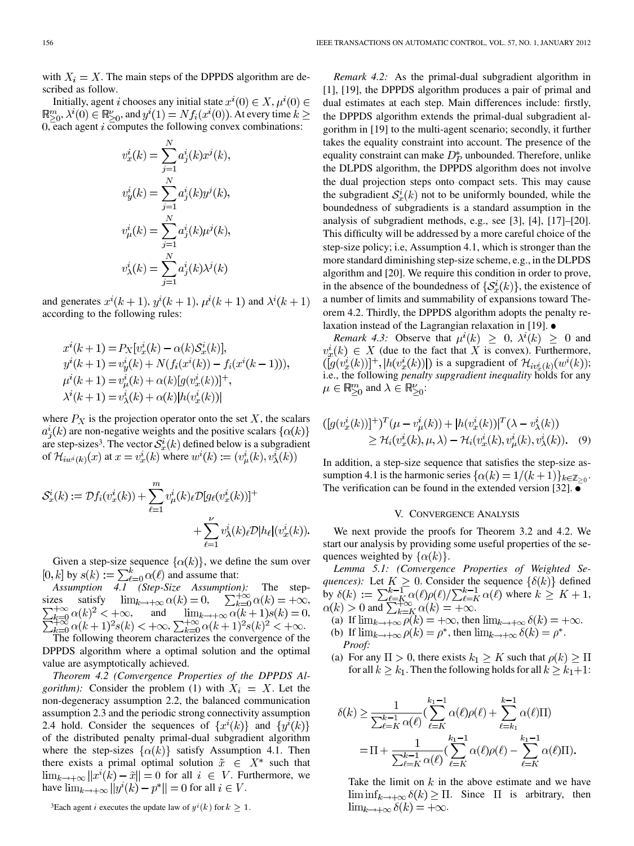with  $X_i = X$ . The main steps of the DPPDS algorithm are described as follow.

Initially, agent i chooses any initial state  $x^{i}(0) \in X$ ,  $\mu^{i}(0) \in$  $\mathbb{R}_{>0}^m$ ,  $\lambda^i(0) \in \mathbb{R}_{>0}^{\nu}$ , and  $y^i(1) = Nf_i(x^i(0))$ . At every time  $k \geq 0$  $\overline{0}$ , each agent  $i$  computes the following convex combinations:

$$
v_x^i(k) = \sum_{j=1}^N a_j^i(k)x^j(k),
$$
  
\n
$$
v_y^i(k) = \sum_{j=1}^N a_j^i(k)y^j(k),
$$
  
\n
$$
v_\mu^i(k) = \sum_{j=1}^N a_j^i(k)\mu^j(k),
$$
  
\n
$$
v_\lambda^i(k) = \sum_{j=1}^N a_j^i(k)\lambda^j(k)
$$

and generates  $x^{i}(k + 1)$ ,  $y^{i}(k + 1)$ ,  $\mu^{i}(k + 1)$  and  $\lambda^{i}(k + 1)$ according to the following rules:

$$
x^{i}(k+1) = P_{X}[v_{x}^{i}(k) - \alpha(k)S_{x}^{i}(k)],
$$
  
\n
$$
y^{i}(k+1) = v_{y}^{i}(k) + N(f_{i}(x^{i}(k)) - f_{i}(x^{i}(k-1))),
$$
  
\n
$$
\mu^{i}(k+1) = v_{\mu}^{i}(k) + \alpha(k)[g(v_{x}^{i}(k))]^{+},
$$
  
\n
$$
\lambda^{i}(k+1) = v_{\lambda}^{i}(k) + \alpha(k)[h(v_{x}^{i}(k))]
$$

where  $P_X$  is the projection operator onto the set X, the scalars  $a_i^{\prime}(k)$  are non-negative weights and the positive scalars  $\{\alpha(k)\}\$ are step-sizes<sup>3</sup>. The vector  $S_x^i(k)$  defined below is a subgradient of  $\mathcal{H}_{iw^i(k)}(x)$  at  $x = v_x^i(k)$  where  $w^i(k) := (v_\mu^i(k), v_\lambda^i(k))$ 

$$
\mathcal{S}_x^i(k) := \mathcal{D}f_i(v_x^i(k)) + \sum_{\ell=1}^m v_\mu^i(k)_{\ell} \mathcal{D}[g_\ell(v_x^i(k))]^+ + \sum_{\ell=1}^\nu v_\lambda^i(k)_{\ell} \mathcal{D}[h_\ell](v_x^i(k)).
$$

Given a step-size sequence  $\{\alpha(k)\}\,$ , we define the sum over by  $s(k) := \sum_{\ell=0}^{\kappa} \alpha(\ell)$  and assume that:

Assumption 4.1 (Step-Size Assumption): The step-<br>res satisfy  $\lim_{k \to +\infty} \alpha(k) = 0$ ,  $\sum_{k=0}^{+\infty} \alpha(k) = +\infty$ , sizes satisfy  $\lim_{k \to +\infty} \alpha(k) = 0$ , , and  $\lim_{k \to +\infty} \alpha(k+1)s(k) = 0$ , ,  $\sum_{k=0}^{+\infty} \alpha(k+1)^2 s(k)^2 < +\infty$ .

The following theorem characterizes the convergence of the DPPDS algorithm where a optimal solution and the optimal value are asymptotically achieved.

*Theorem 4.2 (Convergence Properties of the DPPDS Algorithm*): Consider the problem (1) with  $X_i = X$ . Let the non-degeneracy assumption 2.2, the balanced communication assumption 2.3 and the periodic strong connectivity assumption 2.4 hold. Consider the sequences of  $\{x^{i}(k)\}\$  and  $\{y^{i}(k)\}\$ of the distributed penalty primal-dual subgradient algorithm where the step-sizes  $\{\alpha(k)\}\$  satisfy Assumption 4.1. Then there exists a primal optimal solution  $\tilde{x} \in X^*$  such that  $\lim_{k\to+\infty}||x^i(k)-\tilde{x}||=0$  for all  $i \in V$ . Furthermore, we have  $\lim_{k \to +\infty} ||y^i(k) - p^*|| = 0$  for all  $i \in V$ .

*Remark 4.2:* As the primal-dual subgradient algorithm in [1], [19], the DPPDS algorithm produces a pair of primal and dual estimates at each step. Main differences include: firstly, the DPPDS algorithm extends the primal-dual subgradient algorithm in [19] to the multi-agent scenario; secondly, it further takes the equality constraint into account. The presence of the equality constraint can make  $D_P^*$  unbounded. Therefore, unlike the DLPDS algorithm, the DPPDS algorithm does not involve the dual projection steps onto compact sets. This may cause the subgradient  $S_r^i(k)$  not to be uniformly bounded, while the boundedness of subgradients is a standard assumption in the analysis of subgradient methods, e.g., see [3], [4], [17]–[20]. This difficulty will be addressed by a more careful choice of the step-size policy; i.e, Assumption 4.1, which is stronger than the more standard diminishing step-size scheme, e.g., in the DLPDS algorithm and [20]. We require this condition in order to prove, in the absence of the boundedness of  $\{\mathcal{S}_x^{\iota}(k)\}\,$ , the existence of a number of limits and summability of expansions toward Theorem 4.2. Thirdly, the DPPDS algorithm adopts the penalty relaxation instead of the Lagrangian relaxation in [19].  $\bullet$ 

*Remark 4.3:* Observe that  $\mu^i(k) \geq 0$ ,  $\lambda^i(k) \geq 0$  and  $v_x^i(k) \in X$  (due to the fact that X is convex). Furthermore,  $([g(v_x^i(k))]^+, |h(v_x^i(k))|)$  is a supgradient of  $\mathcal{H}_{iv_x^i(k)}(w^i(k));$ i.e., the following *penalty supgradient inequality* holds for any  $\mu \in \mathbb{R}_{\geq 0}^m$  and  $\lambda \in \mathbb{R}_{\geq 0}^\nu$ :

$$
\begin{aligned} ([g(v_x^i(k))]^+)^T (\mu - v_\mu^i(k)) + |h(v_x^i(k))|^T (\lambda - v_\lambda^i(k)) \\ \geq \mathcal{H}_i(v_x^i(k), \mu, \lambda) - \mathcal{H}_i(v_x^i(k), v_\mu^i(k), v_\lambda^i(k)). \end{aligned} \tag{9}
$$

In addition, a step-size sequence that satisfies the step-size assumption 4.1 is the harmonic series  $\{\alpha(k) = 1/(k+1)\}_{k \in \mathbb{Z}_{\geq 0}}$ . The verification can be found in the extended version [32].  $\bullet$ 

#### V. CONVERGENCE ANALYSIS

We next provide the proofs for Theorem 3.2 and 4.2. We start our analysis by providing some useful properties of the sequences weighted by  $\{\alpha(k)\}.$ 

*Lemma 5.1: (Convergence Properties of Weighted Sequences):* Let  $K \geq 0$ . Consider the sequence  $\{\delta(k)\}\$  defined by  $\delta(k) := \sum_{\ell=k}^{k-1} \alpha(\ell) \rho(\ell) / \sum_{\ell=k}^{k-1} \alpha(\ell)$  where  $k \geq K+1$ , and  $\sum_{k=K}^{+\infty} \alpha(k) = +\infty$ .

- (a) If  $\lim_{k \to +\infty} \rho(k) = +\infty$ , then  $\lim_{k \to +\infty} \delta(k) = +\infty$ .
- (b) If  $\lim_{k \to +\infty} \rho(k) = \rho^*$ , then  $\lim_{k \to +\infty} \delta(k) = \rho^*$ . *Proof:*
- (a) For any  $\Pi > 0$ , there exists  $k_1 \geq K$  such that  $\rho(k) \geq \Pi$ for all  $k \geq k_1$ . Then the following holds for all  $k \geq k_1+1$ :

$$
\begin{aligned} \delta(k)&\geq\frac{1}{\sum_{\ell=K}^{k-1}\alpha(\ell)}(\sum_{\ell=K}^{k_1-1}\alpha(\ell)\rho(\ell)+\sum_{\ell=k_1}^{k-1}\alpha(\ell)\Pi)\\ &=\Pi+\frac{1}{\sum_{\ell=K}^{k-1}\alpha(\ell)}(\sum_{\ell=K}^{k_1-1}\alpha(\ell)\rho(\ell)-\sum_{\ell=K}^{k_1-1}\alpha(\ell)\Pi). \end{aligned}
$$

Take the limit on  $k$  in the above estimate and we have  $\liminf_{k\to+\infty} \delta(k) \geq \Pi$ . Since  $\Pi$  is arbitrary, then  $\lim_{k\to+\infty}\delta(k)=+\infty.$ 

<sup>&</sup>lt;sup>3</sup>Each agent *i* executes the update law of  $y^{i}(k)$  for  $k \geq 1$ .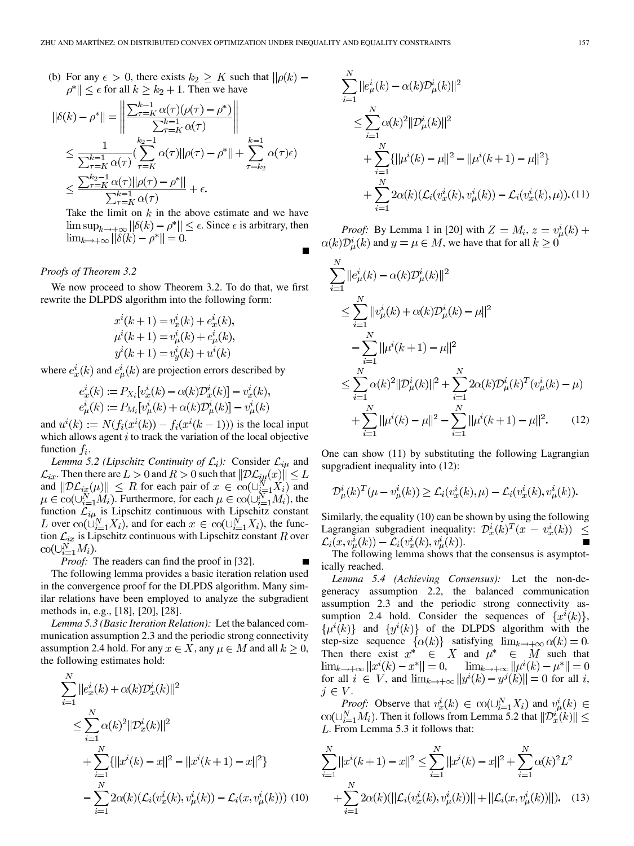(b) For any  $\epsilon > 0$ , there exists  $k_2 \geq K$  such that  $\|\rho(k) \|\rho^*\| \leq \epsilon$  for all  $k \geq k_2 + 1$ . Then we have

$$
\begin{split} \|\delta(k) - \rho^*\| &= \left\| \frac{\sum_{\tau=K}^{k-1} \alpha(\tau)(\rho(\tau) - \rho^*)}{\sum_{\tau=K}^{k-1} \alpha(\tau)} \right\| \\ &\le \frac{1}{\sum_{\tau=K}^{k-1} \alpha(\tau)} \left( \sum_{\tau=K}^{k_2-1} \alpha(\tau) \|\rho(\tau) - \rho^*\| + \sum_{\tau=k_2}^{k-1} \alpha(\tau)\epsilon \right) \\ &\le \frac{\sum_{\tau=K}^{k_2-1} \alpha(\tau) \|\rho(\tau) - \rho^*\|}{\sum_{\tau=K}^{k-1} \alpha(\tau)} + \epsilon. \end{split}
$$

Take the limit on  $k$  in the above estimate and we have  $\limsup_{k\to+\infty}$   $||\delta(k)-\rho^*|| \leq \epsilon$ . Since  $\epsilon$  is arbitrary, then  $\lim_{k\to+\infty}\|\bar{\delta}(k)-\rho^*\|=0.$ 

# *Proofs of Theorem 3.2*

We now proceed to show Theorem 3.2. To do that, we first rewrite the DLPDS algorithm into the following form:

$$
x^{i}(k+1) = v_{x}^{i}(k) + e_{x}^{i}(k),
$$
  
\n
$$
\mu^{i}(k+1) = v_{\mu}^{i}(k) + e_{\mu}^{i}(k),
$$
  
\n
$$
y^{i}(k+1) = v_{y}^{i}(k) + u^{i}(k)
$$

where  $e_x^i(k)$  and  $e_\mu^i(k)$  are projection errors described by

$$
e_x^i(k) := P_{X_i}[v_x^i(k) - \alpha(k)\mathcal{D}_x^i(k)] - v_x^i(k),
$$
  
\n
$$
e_\mu^i(k) := P_{M_i}[v_\mu^i(k) + \alpha(k)\mathcal{D}_\mu^i(k)] - v_\mu^i(k)
$$

and  $u^{i}(k) := N(f_{i}(x^{i}(k)) - f_{i}(x^{i}(k-1)))$  is the local input which allows agent  $i$  to track the variation of the local objective function  $f_i$ .

*Lemma 5.2 (Lipschitz Continuity of*  $\mathcal{L}_i$ ): Consider  $\mathcal{L}_{i\mu}$  and  $\mathcal{L}_{ix}$ . Then there are  $L > 0$  and  $R > 0$  such that  $\|\mathcal{DL}_{i\mu}(x)\| \leq L$ and  $||\mathcal{DL}_{ix}(\mu)|| \leq R$  for each pair of  $x \in \text{co}(\cup_{i=1}^{N} X_i)$  and . Furthermore, for each  $\mu \in \text{co}(\cup_{i=1}^{N} M_i)$ , the function  $\mathcal{L}_{i\mu}$  is Lipschitz continuous with Lipschitz constant over  $\text{co}(\cup_{i=1}^{N} X_i)$ , and for each  $x \in \text{co}(\cup_{i=1}^{N} X_i)$ , the function  $\mathcal{L}_{ix}$  is Lipschitz continuous with Lipschitz constant R over  $\operatorname{co}(\cup_{i=1}^N M_i).$ 

*Proof:* The readers can find the proof in [32].

The following lemma provides a basic iteration relation used in the convergence proof for the DLPDS algorithm. Many similar relations have been employed to analyze the subgradient methods in, e.g., [18], [20], [28].

*Lemma 5.3 (Basic Iteration Relation):* Let the balanced communication assumption 2.3 and the periodic strong connectivity assumption 2.4 hold. For any  $x \in X$ , any  $\mu \in M$  and all  $k \geq 0$ , the following estimates hold:

$$
\sum_{i=1}^{N} ||e_x^i(k) + \alpha(k)\mathcal{D}_x^i(k)||^2
$$
\n
$$
\leq \sum_{i=1}^{N} \alpha(k)^2 ||\mathcal{D}_x^i(k)||^2
$$
\n
$$
+ \sum_{i=1}^{N} {||x^i(k) - x||^2 - ||x^i(k+1) - x||^2}
$$
\n
$$
- \sum_{i=1}^{N} 2\alpha(k)(\mathcal{L}_i(v_x^i(k), v_\mu^i(k)) - \mathcal{L}_i(x, v_\mu^i(k)))
$$
 (10)

$$
\sum_{i=1}^{N} ||e_{\mu}^{i}(k) - \alpha(k)\mathcal{D}_{\mu}^{i}(k)||^{2}
$$
\n
$$
\leq \sum_{i=1}^{N} \alpha(k)^{2} ||\mathcal{D}_{\mu}^{i}(k)||^{2}
$$
\n
$$
+ \sum_{i=1}^{N} {||\mu^{i}(k) - \mu||^{2} - ||\mu^{i}(k+1) - \mu||^{2}}
$$
\n
$$
+ \sum_{i=1}^{N} 2\alpha(k)(\mathcal{L}_{i}(v_{x}^{i}(k), v_{\mu}^{i}(k)) - \mathcal{L}_{i}(v_{x}^{i}(k), \mu)).
$$
 (11)

*Proof:* By Lemma 1 in [20] with  $Z = M_i$ ,  $z = v^i_\mu(k)$  +  $\alpha(k)\mathcal{D}_{\mu}^{i}(k)$  and  $y = \mu \in M$ , we have that for all  $k \geq 0$ 

$$
\sum_{i=1}^{N} ||e_{\mu}^{i}(k) - \alpha(k)\mathcal{D}_{\mu}^{i}(k)||^{2}
$$
\n
$$
\leq \sum_{i=1}^{N} ||v_{\mu}^{i}(k) + \alpha(k)\mathcal{D}_{\mu}^{i}(k) - \mu||^{2}
$$
\n
$$
-\sum_{i=1}^{N} ||\mu^{i}(k+1) - \mu||^{2}
$$
\n
$$
\leq \sum_{i=1}^{N} \alpha(k)^{2} ||\mathcal{D}_{\mu}^{i}(k)||^{2} + \sum_{i=1}^{N} 2\alpha(k)\mathcal{D}_{\mu}^{i}(k)^{T}(v_{\mu}^{i}(k) - \mu)
$$
\n
$$
+\sum_{i=1}^{N} ||\mu^{i}(k) - \mu||^{2} - \sum_{i=1}^{N} ||\mu^{i}(k+1) - \mu||^{2}. \qquad (12)
$$

One can show (11) by substituting the following Lagrangian supgradient inequality into (12):

$$
\mathcal{D}^i_\mu(k)^T(\mu - v^i_\mu(k)) \ge \mathcal{L}_i(v^i_x(k), \mu) - \mathcal{L}_i(v^i_x(k), v^i_\mu(k)).
$$

Similarly, the equality (10) can be shown by using the following Lagrangian subgradient inequality:  $\mathcal{D}_x^i(k)^T(x - v_x^i(k)) \leq$  $\mathcal{L}_i(x,v^i_\mu(k)) - \mathcal{L}_i(v^i_x(k),v^i_\mu(k)).$ 

The following lemma shows that the consensus is asymptotically reached.

*Lemma 5.4 (Achieving Consensus):* Let the non-degeneracy assumption 2.2, the balanced communication assumption 2.3 and the periodic strong connectivity assumption 2.4 hold. Consider the sequences of  $\{x^i(k)\}\,$ ,  $\{\mu^{i}(k)\}\$  and  $\{y^{i}(k)\}\$  of the DLPDS algorithm with the step-size sequence  $\{\alpha(k)\}\$  satisfying  $\lim_{k\to+\infty}\alpha(k)=0$ . Then there exist  $x^* \in X$  and  $\mu^* \in M$  such that , for all  $i \in V$ , and  $\lim_{k \to +\infty} ||y^i(k) - y^j(k)|| = 0$  for all i,  $j \in V$ .

*Proof:* Observe that  $v_x^i(k) \in \text{co}(\cup_{i=1}^N X_i)$  and  $v_u^i(k) \in$  $\text{co}(\cup_{i=1}^{N} M_i)$ . Then it follows from Lemma 5.2 that  $||\mathcal{D}_x^i(k)|| \le$ . From Lemma 5.3 it follows that:

$$
\sum_{i=1}^{N} ||x^{i}(k+1) - x||^{2} \le \sum_{i=1}^{N} ||x^{i}(k) - x||^{2} + \sum_{i=1}^{N} \alpha(k)^{2} L^{2}
$$

$$
+ \sum_{i=1}^{N} 2\alpha(k)(||\mathcal{L}_{i}(v_{x}^{i}(k), v_{\mu}^{i}(k))|| + ||\mathcal{L}_{i}(x, v_{\mu}^{i}(k))||). \quad (13)
$$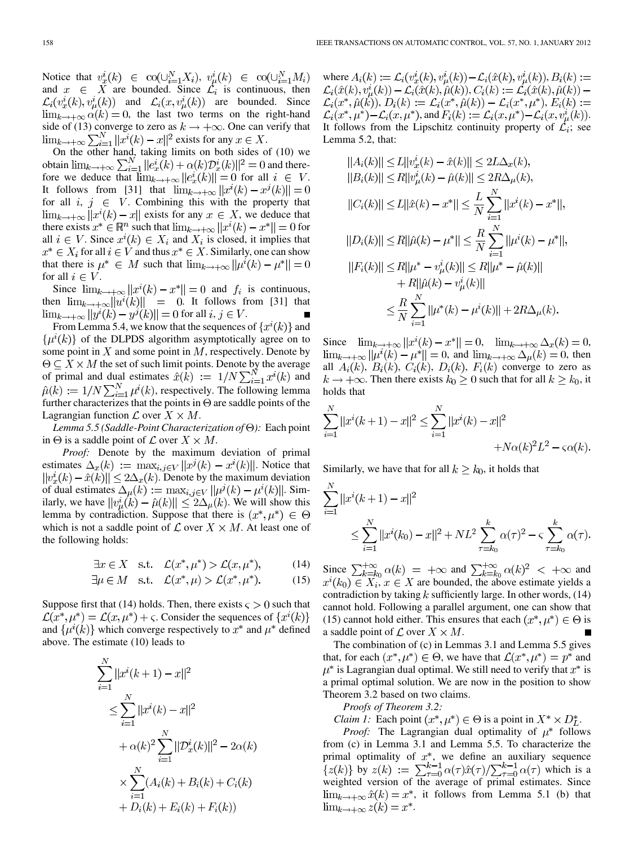Notice that  $v_x^i(k) \in \text{co}(\cup_{i=1}^N X_i)$ , and  $x \in X$  are bounded. Since  $\mathcal{L}_i$  is continuous, then  $\mathcal{L}_i(v_x^i(k), v_\mu^i(k))$  and  $\mathcal{L}_i(x, v_\mu^i(k))$  are bounded. Since  $\lim_{k\to+\infty} \alpha(k) = 0$ , the last two terms on the right-hand side of (13) converge to zero as  $k \to +\infty$ . One can verify that exists for any  $x \in X$ .

On the other hand, taking limits on both sides of (10) we obtain  $\lim_{k\to+\infty}\sum_{i=1}^N||e_x^i(k)+\alpha(k)\mathcal{D}_x^i(k)||^2=0$  and therefore we deduce that  $\lim_{k \to +\infty} ||e_x^{i}(k)|| = 0$  for all  $i \in V$ . It follows from [31] that  $\lim_{k \to +\infty} ||x^{i}(k) - x^{j}(k)|| = 0$ for all  $i, j \in V$ . Combining this with the property that  $\lim_{k \to +\infty} ||x^i(k) - x||$  exists for any  $x \in X$ , we deduce that there exists  $x^* \in \mathbb{R}^n$  such that  $\lim_{k \to +\infty} ||x^i(k) - x^*|| = 0$  for all  $i \in V$ . Since  $x^i(k) \in X_i$  and  $X_i$  is closed, it implies that  $x^* \in X_i$  for all  $i \in V$  and thus  $x^* \in X$ . Similarly, one can show that there is  $\mu^* \in M$  such that  $\lim_{k \to +\infty} ||\mu^{i}(k) - \mu^{*}|| = 0$ for all  $i \in V$ .

Since  $\lim_{k \to +\infty} ||x^i(k) - x^*|| = 0$  and  $f_i$  is continuous, then  $\lim_{k\to\infty}||u^i(k)|| = 0$ . It follows from [31] that  $\lim_{k\to+\infty}||y^i(k)-y^j(k)||=0$  for all  $i, j \in V$ .

From Lemma 5.4, we know that the sequences of  $\{x^{i}(k)\}\$ and  $\{\mu^{i}(k)\}\$  of the DLPDS algorithm asymptotically agree on to some point in  $X$  and some point in  $M$ , respectively. Denote by  $\Theta \subseteq X \times M$  the set of such limit points. Denote by the average of primal and dual estimates  $\hat{x}(k) := 1/N \sum_{i=1}^{N} x^{i}(k)$  and  $\hat{\mu}(k) := 1/N \sum_{i=1}^{N} \mu^{i}(k)$ , respectively. The following lemma further characterizes that the points in  $\Theta$  are saddle points of the Lagrangian function  $\mathcal L$  over  $X \times M$ .

*Lemma 5.5 (Saddle-Point Characterization of ):* Each point in  $\Theta$  is a saddle point of  $\mathcal L$  over  $X \times M$ .

*Proof:* Denote by the maximum deviation of primal estimates  $\Delta_x(k) := \max_{i,j \in V} ||x^j(k) - x^i(k)||$ . Notice that  $||v_x^i(k) - \hat{x}(k)|| \leq 2\Delta_x(k)$ . Denote by the maximum deviation of dual estimates  $\Delta_{\mu}(k) := \max_{i,j \in V} ||\mu^{j}(k) - \mu^{i}(k)||$ . Similarly, we have  $||v^i_\mu(k) - \hat{\mu}(k)|| \leq 2\Delta_\mu(k)$ . We will show this lemma by contradiction. Suppose that there is  $(x^*, \mu^*) \in \Theta$ which is not a saddle point of  $\mathcal L$  over  $X \times M$ . At least one of the following holds:

$$
\exists x \in X \quad \text{s.t.} \quad \mathcal{L}(x^*, \mu^*) > \mathcal{L}(x, \mu^*), \tag{14}
$$

$$
\exists \mu \in M \quad \text{s.t.} \quad \mathcal{L}(x^*, \mu) > \mathcal{L}(x^*, \mu^*). \tag{15}
$$

Suppose first that (14) holds. Then, there exists  $\varsigma > 0$  such that  $\mathcal{L}(x^*, \mu^*) = \mathcal{L}(x, \mu^*) + \varsigma$ . Consider the sequences of  $\{x^i(k)\}\$ and  $\{\mu^{i}(k)\}\$  which converge respectively to  $x^*$  and  $\mu^*$  defined above. The estimate (10) leads to

$$
\sum_{i=1}^{N} ||x^{i}(k+1) - x||^{2}
$$
\n
$$
\leq \sum_{i=1}^{N} ||x^{i}(k) - x||^{2}
$$
\n
$$
+ \alpha(k)^{2} \sum_{i=1}^{N} ||D_{x}^{i}(k)||^{2} - 2\alpha(k)
$$
\n
$$
\times \sum_{i=1}^{N} (A_{i}(k) + B_{i}(k) + C_{i}(k)
$$
\n
$$
+ D_{i}(k) + E_{i}(k) + F_{i}(k))
$$

where  $A_i(k) := \mathcal{L}_i(v_x^i(k), v_\mu^i(k)) - \mathcal{L}_i(\hat{x}(k), v_\mu^i(k)), B_i(k) :=$  $\mathcal{L}_i(\hat{x}(k), v^i_{\mu}(k)) - \mathcal{L}_i(\hat{x}(k), \hat{\mu}(k)), C_i(k) := \mathcal{L}_i(\hat{x}(k), \hat{\mu}(k)) \mathcal{L}_i(x^*, \hat{\mu}(k)), D_i(k) := \mathcal{L}_i(x^*, \hat{\mu}(k)) - \mathcal{L}_i(x^*, \mu^*), E_i(k) :=$  $\mathcal{L}_i(x^*, \mu^*) - \mathcal{L}_i(x, \mu^*)$ , and  $F_i(k) := \mathcal{L}_i(x, \mu^*) - \mathcal{L}_i(x, v^i_{\mu}(k)).$ It follows from the Lipschitz continuity property of  $\mathcal{L}_i$ ; see Lemma 5.2, that:

$$
||A_i(k)|| \leq L||v_x^i(k) - \hat{x}(k)|| \leq 2L\Delta_x(k),
$$
  
\n
$$
||B_i(k)|| \leq R||v_\mu^i(k) - \hat{\mu}(k)|| \leq 2R\Delta_\mu(k),
$$
  
\n
$$
||C_i(k)|| \leq L||\hat{x}(k) - x^*|| \leq \frac{L}{N} \sum_{i=1}^N ||x^i(k) - x^*||,
$$
  
\n
$$
||D_i(k)|| \leq R||\hat{\mu}(k) - \mu^*|| \leq \frac{R}{N} \sum_{i=1}^N ||\mu^i(k) - \mu^*||,
$$
  
\n
$$
||F_i(k)|| \leq R||\mu^* - v_\mu^i(k)|| \leq R||\mu^* - \hat{\mu}(k)||
$$
  
\n
$$
+ R||\hat{\mu}(k) - v_\mu^i(k)||
$$
  
\n
$$
\leq \frac{R}{N} \sum_{i=1}^N ||\mu^*(k) - \mu^i(k)|| + 2R\Delta_\mu(k).
$$

Since  $\lim_{k \to +\infty} ||x^i(k) - x^*|| = 0$ ,  $\lim_{k \to +\infty} \Delta_x(k) = 0$ ,  $\lim_{k\to+\infty} ||\mu^{i}(k) - \mu^{*}|| = 0$ , and  $\lim_{k\to+\infty} \Delta_{\mu}(k) = 0$ , then all  $A_i(k)$ ,  $B_i(k)$ ,  $C_i(k)$ ,  $D_i(k)$ ,  $F_i(k)$  converge to zero as  $k \to +\infty$ . Then there exists  $k_0 \geq 0$  such that for all  $k \geq k_0$ , it holds that

$$
\sum_{i=1}^{N} ||x^{i}(k+1) - x||^{2} \le \sum_{i=1}^{N} ||x^{i}(k) - x||^{2}
$$
  
+ $N\alpha(k)^{2}L^{2} - \varsigma\alpha(k).$ 

Similarly, we have that for all  $k \geq k_0$ , it holds that

$$
\sum_{i=1}^{N} ||x^{i}(k+1) - x||^{2}
$$
  
\n
$$
\leq \sum_{i=1}^{N} ||x^{i}(k_{0}) - x||^{2} + NL^{2} \sum_{\tau=k_{0}}^{k} \alpha(\tau)^{2} - \varsigma \sum_{\tau=k_{0}}^{k} \alpha(\tau).
$$

Since  $\sum_{k=k_0}^{+\infty} \alpha(k) = +\infty$  and  $\sum_{k=k_0}^{+\infty} \alpha(k)^2 < +\infty$  and ,  $x \in X$  are bounded, the above estimate yields a contradiction by taking  $k$  sufficiently large. In other words, (14) cannot hold. Following a parallel argument, one can show that (15) cannot hold either. This ensures that each  $(x^*, \mu^*) \in \Theta$  is a saddle point of  $\mathcal L$  over  $X \times M$ .

The combination of (c) in Lemmas 3.1 and Lemma 5.5 gives that, for each  $(x^*, \mu^*) \in \Theta$ , we have that  $\mathcal{L}(x^*, \mu^*) = p^*$  and  $\mu^*$  is Lagrangian dual optimal. We still need to verify that  $x^*$  is a primal optimal solution. We are now in the position to show Theorem 3.2 based on two claims.

*Proofs of Theorem 3.2:*

*Claim 1:* Each point  $(x^*, \mu^*) \in \Theta$  is a point in  $X^* \times D_L^*$ .

*Proof:* The Lagrangian dual optimality of  $\mu^*$  follows from (c) in Lemma 3.1 and Lemma 5.5. To characterize the primal optimality of  $x^*$ , we define an auxiliary sequence by  $z(k) := \sum_{\tau=0}^{k-1} \alpha(\tau) \hat{x}(\tau) / \sum_{\tau=0}^{k-1} \alpha(\tau)$  which is a weighted version of the average of primal estimates. Since  $\lim_{k\to+\infty} \hat{x}(k) = x^*$ , it follows from Lemma 5.1 (b) that  $\lim_{k\to+\infty}z(k)=x^*.$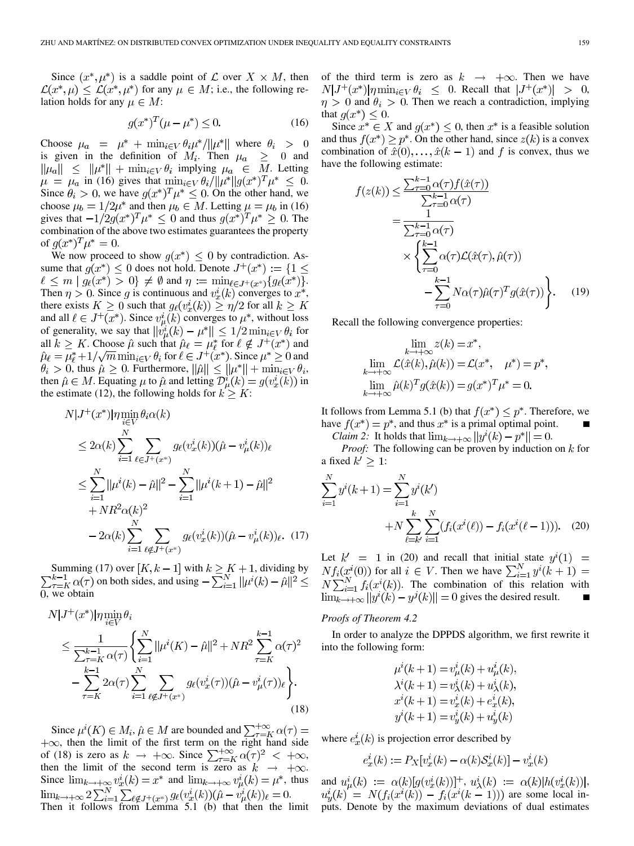Since  $(x^*, \mu^*)$  is a saddle point of  $\mathcal L$  over  $X \times M$ , then  $\mathcal{L}(x^*, \mu) \leq \mathcal{L}(x^*, \mu^*)$  for any  $\mu \in M$ ; i.e., the following relation holds for any  $\mu \in M$ :

$$
g(x^*)^T(\mu - \mu^*) \le 0.
$$
 (16)

Choose  $\mu_a = \mu^* + \min_{i \in V} \theta_i \mu^* / ||\mu^*||$  where  $\theta_i > 0$ is given in the definition of  $M_i$ . Then  $\mu_a \geq 0$  and implying  $\mu_a \in M$ . Letting  $\mu = \mu_a$  in (16) gives that  $\min_{i \in V} \theta_i / ||\mu^*|| g(x^*)^T \mu^* \leq 0$ . Since  $\theta_i > 0$ , we have  $g(x^*)^T \mu^* \leq 0$ . On the other hand, we choose  $\mu_b = 1/2\mu^*$  and then  $\mu_b \in M$ . Letting  $\mu = \mu_b$  in (16) gives that  $-1/2g(x^*)^T\mu^* \leq 0$  and thus  $g(x^*)^T\mu^* \geq 0$ . The combination of the above two estimates guarantees the property of  $g(x^*)^T \mu^* = 0$ .

We now proceed to show  $q(x^*) \leq 0$  by contradiction. Assume that  $g(x^*) \leq 0$  does not hold. Denote  $J^+(x^*) := \{1 \leq$  $\ell \leq m | g_{\ell}(x^*) > 0 \} \neq \emptyset$  and  $\eta := \min_{\ell \in J^+(x^*)} \{ g_{\ell}(x^*) \}.$ Then  $\eta > 0$ . Since g is continuous and  $v_x^i(k)$  converges to  $x^*$ , there exists  $K \geq 0$  such that  $g_{\ell}(v_r^i(k)) \geq \eta/2$  for all  $k \geq K$ and all  $\ell \in J^+(x^*)$ . Since  $v^i_\mu(k)$  converges to  $\mu^*$ , without loss of generality, we say that  $||v_u^i(k) - \mu^*|| \leq 1/2 \min_{i \in V} \theta_i$  for all  $k \geq K$ . Choose  $\hat{\mu}$  such that  $\hat{\mu}_{\ell} = \mu_{\ell}^*$  for  $\ell \notin J^+(x^*)$  and  $\hat{\mu}_{\ell} = \mu_{\ell}^* + 1/\sqrt{m} \min_{i \in V} \theta_i$  for  $\ell \in J^+(\mathbf{x}^*)$ . Since  $\mu^* \geq 0$  and  $\theta_i > 0$ , thus  $\hat{\mu} \geq 0$ . Furthermore,  $\|\hat{\mu}\| \leq \|\mu^*\| + \min_{i \in V} \theta_i$ , then  $\hat{\mu} \in M$ . Equating  $\mu$  to  $\hat{\mu}$  and letting  $\mathcal{D}_{\mu}^{i}(k) = g(v_x^{i}(k))$  in the estimate (12), the following holds for  $k \geq K$ :

$$
N|J^+(x^*)|\eta \min_{i \in V} \theta_i \alpha(k)
$$
  
\n
$$
\leq 2\alpha(k) \sum_{i=1}^N \sum_{\ell \in J^+(x^*)} g_{\ell}(v_x^i(k)) (\hat{\mu} - v_{\mu}^i(k))_{\ell}
$$
  
\n
$$
\leq \sum_{i=1}^N ||\mu^i(k) - \hat{\mu}||^2 - \sum_{i=1}^N ||\mu^i(k+1) - \hat{\mu}||^2
$$
  
\n
$$
+ NR^2 \alpha(k)^2
$$
  
\n
$$
-2\alpha(k) \sum_{i=1}^N \sum_{\ell \notin J^+(x^*)} g_{\ell}(v_x^i(k)) (\hat{\mu} - v_{\mu}^i(k))_{\ell}.
$$
 (17)

Summing (17) over  $[K, k-1]$  with  $k \geq K + 1$ , dividing by on both sides, and using , we obtain

$$
N|J^+(x^*)|\eta \min_{i \in V} \theta_i
$$
  
\n
$$
\leq \frac{1}{\sum_{\tau=k}^{k-1} \alpha(\tau)} \left\{ \sum_{i=1}^N ||\mu^i(K) - \hat{\mu}||^2 + NR^2 \sum_{\tau=K}^{k-1} \alpha(\tau)^2 - \sum_{\tau=K}^{k-1} 2\alpha(\tau) \sum_{i=1}^N \sum_{\ell \notin J^+(x^*)} g_\ell(v_x^i(\tau))(\hat{\mu} - v_\mu^i(\tau))_\ell \right\}.
$$
  
\n(18)

Since  $\mu^i(K) \in M_i$ ,  $\hat{\mu} \in M$  are bounded and , then the limit of the first term on the right hand side of (18) is zero as  $k \to +\infty$ . Since  $\sum_{\tau=k}^{+\infty} \alpha(\tau)^2 < +\infty$ , then the limit of the second term is zero as  $k \rightarrow +\infty$ . Since  $\lim_{k \to +\infty} v_x^i(k) = x^*$  and  $\lim_{k \to +\infty} v_\mu^i(k) = \mu^*$ , thus  $\lim\nolimits_{k\rightarrow+\infty}2\sum_{i=1}^{N}\sum\nolimits_{\ell\notin J_{-}^{+}\left(x^{\ast}\right)}g_{\ell}(v_{x}^{i}(k))(\hat{\mu}-v_{\mu}^{i}(k))_{\ell}=0.$ 

Then it follows from Lemma 5.1 (b) that then the limit

of the third term is zero as  $k \rightarrow +\infty$ . Then we have  $N|J^+(x^*)|\eta \min_{i \in V} \theta_i \leq 0$ . Recall that  $|J^+(x^*)| > 0$ ,  $\eta > 0$  and  $\theta_i > 0$ . Then we reach a contradiction, implying that  $g(x^*) \leq 0$ .

Since  $x^* \in X$  and  $g(x^*) \leq 0$ , then  $x^*$  is a feasible solution and thus  $f(x^*) \ge p^*$ . On the other hand, since  $z(k)$  is a convex combination of  $\hat{x}(0), \dots, \hat{x}(k-1)$  and f is convex, thus we have the following estimate:

$$
f(z(k)) \leq \frac{\sum_{\tau=0}^{k-1} \alpha(\tau) f(\hat{x}(\tau))}{\sum_{\tau=0}^{k-1} \alpha(\tau)}
$$
  
= 
$$
\frac{1}{\sum_{\tau=0}^{k-1} \alpha(\tau)}
$$
  

$$
\times \left\{ \sum_{\tau=0}^{k-1} \alpha(\tau) \mathcal{L}(\hat{x}(\tau), \hat{\mu}(\tau)) - \sum_{\tau=0}^{k-1} N \alpha(\tau) \hat{\mu}(\tau)^T g(\hat{x}(\tau)) \right\}.
$$
 (19)

Recall the following convergence properties:

$$
\lim_{k \to +\infty} z(k) = x^*,
$$
  
\n
$$
\lim_{k \to +\infty} \mathcal{L}(\hat{x}(k), \hat{\mu}(k)) = \mathcal{L}(x^*, \quad \mu^*) = p^*,
$$
  
\n
$$
\lim_{k \to +\infty} \hat{\mu}(k)^T g(\hat{x}(k)) = g(x^*)^T \mu^* = 0.
$$

It follows from Lemma 5.1 (b) that  $f(x^*) \leq p^*$ . Therefore, we have  $f(x^*) = p^*$ , and thus  $x^*$  is a primal optimal point.

*Claim 2:* It holds that  $\lim_{k\to+\infty} ||y^{i}(k)-p^{*}||=0$ .

*Proof:* The following can be proven by induction on  $k$  for a fixed  $k' \geq 1$ :

$$
\sum_{i=1}^{N} y^{i}(k+1) = \sum_{i=1}^{N} y^{i}(k')
$$
  
+ $N \sum_{\ell=k'}^{k} \sum_{i=1}^{N} (f_{i}(x^{i}(\ell)) - f_{i}(x^{i}(\ell-1))).$  (20)

Let  $k' = 1$  in (20) and recall that initial state for all  $i \in V$ . Then we have  $N\sum_{i=1}^{N} f_i(x^i(k))$ . The combination of this relation with  $\lim_{k\to+\infty}||y^i(k)-y^j(k)||=0$  gives the desired result.

# *Proofs of Theorem 4.2*

In order to analyze the DPPDS algorithm, we first rewrite it into the following form:

$$
\mu^{i}(k+1) = v_{\mu}^{i}(k) + u_{\mu}^{i}(k),
$$
  
\n
$$
\lambda^{i}(k+1) = v_{\lambda}^{i}(k) + u_{\lambda}^{i}(k),
$$
  
\n
$$
x^{i}(k+1) = v_{x}^{i}(k) + e_{x}^{i}(k),
$$
  
\n
$$
y^{i}(k+1) = v_{\mu}^{i}(k) + u_{\mu}^{i}(k)
$$

where  $e^i_r(k)$  is projection error described by

$$
v_x^i(k) := P_X[v_x^i(k) - \alpha(k)S_x^i(k)] - v_x^i(k)
$$

and  $u^i_{\mu}(k) := \alpha(k)[g(v^i_{\mathcal{X}}(k))]^+, u^i_{\lambda}(k) := \alpha(k)[h(v^i_{\mathcal{X}}(k))],$  $u^i_y(k) = N(f_i(x^i(k)) - f_i(x^i(k-1)))$  are some local inputs. Denote by the maximum deviations of dual estimates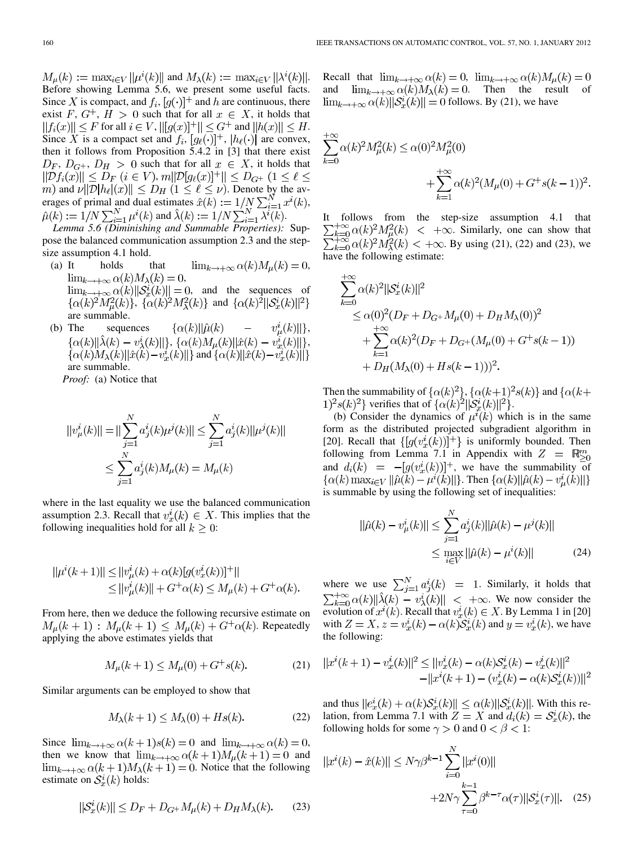$M_{\mu}(k) := \max_{i \in V} ||\mu^{i}(k)||$  and  $M_{\lambda}(k) := \max_{i \in V} ||\lambda^{i}(k)||$ . Before showing Lemma 5.6, we present some useful facts. Since X is compact, and  $f_i$ ,  $[g(\cdot)]^+$  and h are continuous, there exist F,  $G^+$ ,  $H > 0$  such that for all  $x \in X$ , it holds that  $||f_i(x)|| \leq F$  for all  $i \in V$ ,  $||[g(x)]^+|| \leq G^+$  and  $||h(x)|| \leq H$ . Since X is a compact set and  $f_i$ ,  $[g_\ell(\cdot)]^+$ ,  $|h_\ell(\cdot)|$  are convex, then it follows from Proposition 5.4.2 in [3] that there exist  $D_F, D_{G^+}, D_H > 0$  such that for all  $x \in X$ , it holds that  $||Df_i(x)|| \le D_F$   $(i \in V)$ ,  $m||D[g_{\ell}(x)]^+|| \le D_{G^+}$   $(1 \le \ell \le$ m) and  $\nu||\mathcal{D}|h_{\ell}||(x)|| \leq D_H$   $(1 \leq \ell \leq \nu)$ . Denote by the averages of primal and dual estimates  $\hat{x}(k) := 1/N \sum_{i=1}^{N} x^{i}(k)$ , and  $\lambda(k) := 1/N \sum_{i=1}^{N} \lambda^{i}(k)$ .

*Lemma 5.6 (Diminishing and Summable Properties):* Suppose the balanced communication assumption 2.3 and the stepsize assumption 4.1 hold.

- (a) It holds that  $\lim_{k \to +\infty} \alpha(k) M_{\mu}(k) = 0$ ,  $\lim_{k \to +\infty} \alpha(k) M_{\lambda}(k) = 0,$  $\lim_{k \to +\infty} \alpha(k) ||\mathcal{S}_x^i(k)|| = 0$ , and the sequences of  $\{\alpha(k)^2 M_{\mu}^2(k)\}\,$ ,  $\{\alpha(k)^2 M_{\lambda}^2(k)\}\$  and  $\{\alpha(k)^2 ||\mathcal{S}_x^i(k)||^2\}$ are summable.
- (b) The sequences  $\{\alpha(k)\|\hat{\mu}(k)$   $v^i_{\mu}(k)\|\},$  $, \{\alpha(k)M_{\mu}(k)\|\hat{x}(k) - v_x(k)\|\},\$ and are summable.

*Proof:* (a) Notice that

$$
\begin{aligned} ||v^i_\mu(k)||&=||\sum_{j=1}^N a^i_j(k)\mu^j(k)||\leq \sum_{j=1}^N a^i_j(k)||\mu^j(k)||\\ &\leq \sum_{j=1}^N a^i_j(k)M_\mu(k)=M_\mu(k) \end{aligned}
$$

where in the last equality we use the balanced communication assumption 2.3. Recall that  $v_x^i(k) \in X$ . This implies that the following inequalities hold for all  $k \geq 0$ :

$$
|\mu^{i}(k+1)|| \leq ||v_{\mu}^{i}(k) + \alpha(k)[g(v_{x}^{i}(k))]^{+}||
$$
  
\n
$$
\leq ||v_{\mu}^{i}(k)|| + G^{+}\alpha(k) \leq M_{\mu}(k) + G^{+}\alpha(k).
$$

From here, then we deduce the following recursive estimate on  $M_{\mu}(k+1)$ :  $M_{\mu}(k+1) \leq M_{\mu}(k) + G^{+}\alpha(k)$ . Repeatedly applying the above estimates yields that

$$
M_{\mu}(k+1) \le M_{\mu}(0) + G^{+}s(k). \tag{21}
$$

Similar arguments can be employed to show that

$$
M_{\lambda}(k+1) \le M_{\lambda}(0) + Hs(k). \tag{22}
$$

Since  $\lim_{k \to +\infty} \alpha(k+1)s(k) = 0$  and  $\lim_{k \to +\infty} \alpha(k) = 0$ , then we know that  $\lim_{k \to +\infty} \alpha(k+1)M_{\mu}(k+1) = 0$  and  $\lim_{k \to +\infty} \alpha(k+1) M_{\lambda}(k+1) = 0$ . Notice that the following estimate on  $S_x^i(k)$  holds:

$$
\|\mathcal{S}_x^i(k)\| \le D_F + D_{G^+} M_\mu(k) + D_H M_\lambda(k). \tag{23}
$$

Recall that  $\lim_{k \to +\infty} \alpha(k) = 0$ ,  $\lim_{k \to +\infty} \alpha(k) M_{\mu}(k) = 0$ and  $\lim_{k \to +\infty} \alpha(k) M_{\lambda}(k) = 0$ . Then the result of  $\lim_{k\to+\infty} \alpha(k) ||\mathcal{S}_x^i(k)|| = 0$  follows. By (21), we have

+
$$
\infty
$$
  
\n
$$
\sum_{k=0}^{+\infty} \alpha(k)^2 M_\mu^2(k) \le \alpha(0)^2 M_\mu^2(0)
$$
\n
$$
+ \sum_{k=1}^{+\infty} \alpha(k)^2 (M_\mu(0) + G^+ s(k-1))^2.
$$

It follows from the step-size assumption 4.1 that  $\sum_{k=0}^{+\infty} \alpha(k)^2 M_\mu^2(k)$  <  $+\infty$ . Similarly, one can show that  $\sum_{k=0}^{+\infty} \alpha(k)^2 M_{\lambda}^2(k) < +\infty$ . By using (21), (22) and (23), we have the following estimate:

$$
\sum_{k=0}^{+\infty} \alpha(k)^2 ||S_x^i(k)||^2
$$
  
\n
$$
\leq \alpha(0)^2 (D_F + D_{G^+} M_\mu(0) + D_H M_\lambda(0))^2
$$
  
\n
$$
+ \sum_{k=1}^{+\infty} \alpha(k)^2 (D_F + D_{G^+} (M_\mu(0) + G^+ s(k-1)))
$$
  
\n
$$
+ D_H (M_\lambda(0) + H s(k-1)))^2.
$$

Then the summability of  $\{\alpha(k)^2\}$ ,  $\{\alpha(k+1)^2s(k)\}$  and  $\{\alpha(k+1)\}$  $(1)^2 s(k)^2$ } verifies that of  $\{\alpha(k)^2 ||\mathcal{S}_x^i(k)||^2\}$ .

(b) Consider the dynamics of  $\mu^{i}(k)$  which is in the same form as the distributed projected subgradient algorithm in [20]. Recall that  $\{ [g(v_n^i(k))]^+ \}$  is uniformly bounded. Then following from Lemma 7.1 in Appendix with  $Z = \mathbb{R}_{\geq 0}^m$ and  $d_i(k) = -[g(v_x^i(k))]^+$ , we have the summability of  $\{\alpha(k) \max_{i \in V} ||\hat{\mu}(k) - \mu^{i}(k)||\}$ . Then  $\{\alpha(k) ||\hat{\mu}(k) - v_{\mu}^{i}(k)||\}$ is summable by using the following set of inequalities:

$$
||\hat{\mu}(k) - v_{\mu}^{i}(k)|| \le \sum_{j=1}^{N} a_{j}^{i}(k)||\hat{\mu}(k) - \mu^{j}(k)||
$$
  

$$
\le \max_{i \in V} ||\hat{\mu}(k) - \mu^{i}(k)|| \qquad (24)
$$

where we use  $\sum_{j=1}^{N} a_j^i(k) = 1$ . Similarly, it holds that  $\sum_{k=0}^{+\infty} \alpha(k) ||\hat{\lambda}(k) - v_{\lambda}^{i}(k)|| < +\infty$ . We now consider the evolution of  $x^{i}(k)$ . Recall that  $v_{x}^{i}(k) \in X$ . By Lemma 1 in [20] with  $Z = X$ ,  $z = v_x^i(k) - \alpha(k)S_x^i(k)$  and  $y = v_x^i(k)$ , we have the following:

$$
||x^{i}(k+1) - v_x^{i}(k)||^{2} \le ||v_x^{i}(k) - \alpha(k)S_x^{i}(k) - v_x^{i}(k)||^{2}
$$
  
-||x<sup>i</sup>(k+1) - (v\_x^{i}(k) - \alpha(k)S\_x^{i}(k))||^{2}

and thus  $||e_x^i(k) + \alpha(k)S_x^i(k)|| \leq \alpha(k)||S_x^i(k)||$ . With this relation, from Lemma 7.1 with  $Z = X$  and  $d_i(k) = S_x^i(k)$ , the following holds for some  $\gamma > 0$  and  $0 < \beta < 1$ :

$$
||x^{i}(k) - \hat{x}(k)|| \le N\gamma\beta^{k-1} \sum_{i=0}^{N} ||x^{i}(0)|| + 2N\gamma \sum_{\tau=0}^{k-1} \beta^{k-\tau}\alpha(\tau)||\mathcal{S}_{x}^{i}(\tau)||. \quad (25)
$$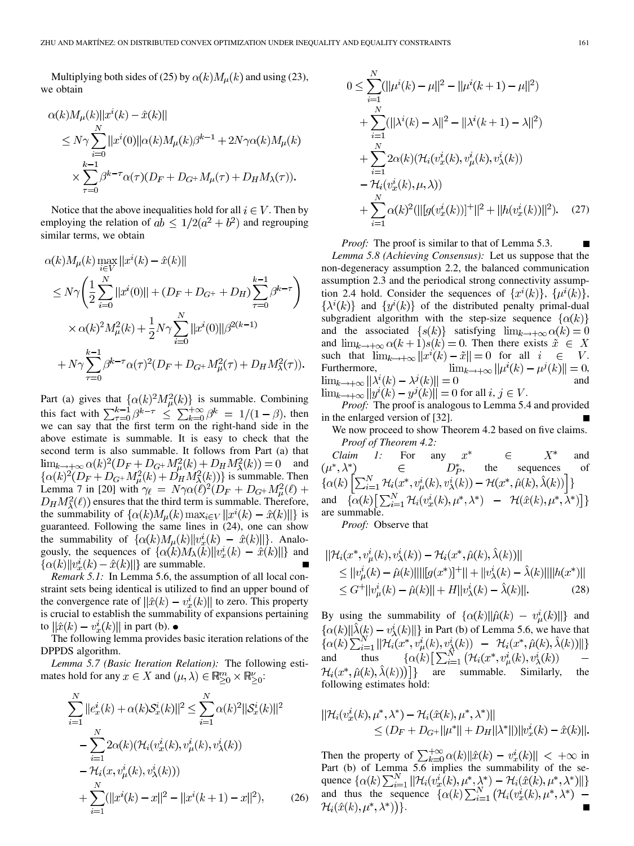Multiplying both sides of (25) by  $\alpha(k)M_\mu(k)$  and using (23), we obtain

$$
\alpha(k)M_{\mu}(k)||x^{i}(k) - \hat{x}(k)||
$$
  
\n
$$
\leq N\gamma \sum_{i=0}^{N} ||x^{i}(0)||\alpha(k)M_{\mu}(k)\beta^{k-1} + 2N\gamma\alpha(k)M_{\mu}(k)
$$
  
\n
$$
\times \sum_{\tau=0}^{k-1} \beta^{k-\tau}\alpha(\tau)(D_{F} + D_{G^{+}}M_{\mu}(\tau) + D_{H}M_{\lambda}(\tau)).
$$

Notice that the above inequalities hold for all  $i \in V$ . Then by employing the relation of  $ab \leq 1/2(a^2 + b^2)$  and regrouping similar terms, we obtain

$$
\alpha(k)M_{\mu}(k)\max_{i\in V}||x^{i}(k) - \hat{x}(k)||
$$
  
\n
$$
\leq N\gamma\left(\frac{1}{2}\sum_{i=0}^{N}||x^{i}(0)|| + (D_{F} + D_{G^{+}} + D_{H})\sum_{\tau=0}^{k-1}\beta^{k-\tau}\right)
$$
  
\n
$$
\times \alpha(k)^{2}M_{\mu}^{2}(k) + \frac{1}{2}N\gamma\sum_{i=0}^{N}||x^{i}(0)||\beta^{2(k-1)}
$$
  
\n
$$
+ N\gamma\sum_{\tau=0}^{k-1}\beta^{k-\tau}\alpha(\tau)^{2}(D_{F} + D_{G^{+}}M_{\mu}^{2}(\tau) + D_{H}M_{\lambda}^{2}(\tau)).
$$

Part (a) gives that  $\{\alpha(k)^2 M_u^2(k)\}\$ is summable. Combining this fact with  $\sum_{\tau=0}^{k-1} \beta^{k-\tau} \leq \sum_{k=0}^{+\infty} \beta^k = 1/(1-\beta)$ , then we can say that the first term on the right-hand side in the above estimate is summable. It is easy to check that the second term is also summable. It follows from Part (a) that  $\lim_{k \to +\infty} \alpha(k)^2 (D_F + D_{G^+} M_u^2(k) + D_H M_{\lambda}^2(k)) = 0$  and  $\{\alpha(k)^2(D_F+D_G+M_\mu^2(k)+D_H^TM_\lambda^2(k))\}\$ is summable. Then Lemma 7 in [20] with  $\gamma_{\ell} = N \gamma \alpha(\ell)^2 (D_F + D_{G^+} M_u^2(\ell) +$  $D_H M_{\lambda}^2(\ell)$  ensures that the third term is summable. Therefore, the summability of  $\{\alpha(k)M_{\mu}(k)\max_{i\in V}||x^{i}(k)-\hat{x}(k)||\}$  is guaranteed. Following the same lines in (24), one can show the summability of  $\{\alpha(k)M_{\mu}(k)\|v_x^i(k) - \hat{x}(k)\|$ . Analogously, the sequences of  $\{\alpha(k)M_{\lambda}(k)\|v_x^{i}(k) - \hat{x}(k)\}\$  and  $\{\alpha(k)\|v_x^i(k)-\hat{x}(k)\|\}\$ are summable.

*Remark 5.1:* In Lemma 5.6, the assumption of all local constraint sets being identical is utilized to find an upper bound of the convergence rate of  $\|\hat{x}(k) - v_x^i(k)\|$  to zero. This property is crucial to establish the summability of expansions pertaining to  $\|\hat{x}(k) - v_x(k)\|$  in part (b).

The following lemma provides basic iteration relations of the DPPDS algorithm.

*Lemma 5.7 (Basic Iteration Relation):* The following estimates hold for any  $x \in X$  and  $(\mu, \lambda) \in \mathbb{R}_{\geq 0}^m \times \mathbb{R}_{\geq 0}^{\nu}$ :

$$
\sum_{i=1}^{N} ||e_x^i(k) + \alpha(k)S_x^i(k)||^2 \le \sum_{i=1}^{N} \alpha(k)^2 ||S_x^i(k)||^2
$$
  

$$
- \sum_{i=1}^{N} 2\alpha(k)(\mathcal{H}_i(v_x^i(k), v_\mu^i(k), v_\lambda^i(k))
$$
  

$$
- \mathcal{H}_i(x, v_\mu^i(k), v_\lambda^i(k)))
$$
  

$$
+ \sum_{i=1}^{N} (||x^i(k) - x||^2 - ||x^i(k+1) - x||^2),
$$
 (26)

$$
0 \leq \sum_{i=1}^{N} (||\mu^{i}(k) - \mu||^{2} - ||\mu^{i}(k+1) - \mu||^{2})
$$
  
+ 
$$
\sum_{i=1}^{N} (||\lambda^{i}(k) - \lambda||^{2} - ||\lambda^{i}(k+1) - \lambda||^{2})
$$
  
+ 
$$
\sum_{i=1}^{N} 2\alpha(k)(\mathcal{H}_{i}(v_{x}^{i}(k), v_{\mu}^{i}(k), v_{\lambda}^{i}(k))
$$
  
- 
$$
\mathcal{H}_{i}(v_{x}^{i}(k), \mu, \lambda)
$$
  
+ 
$$
\sum_{i=1}^{N} \alpha(k)^{2} (||[g(v_{x}^{i}(k))]^{+}||^{2} + ||h(v_{x}^{i}(k))||^{2}).
$$
 (27)

*Proof:* The proof is similar to that of Lemma 5.3. *Lemma 5.8 (Achieving Consensus):* Let us suppose that the non-degeneracy assumption 2.2, the balanced communication assumption 2.3 and the periodical strong connectivity assumption 2.4 hold. Consider the sequences of  $\{x^{i}(k)\}, \{\mu^{i}(k)\},\$  $\{\lambda^{i}(k)\}\$ and  $\{y^{i}(k)\}\$ of the distributed penalty primal-dual subgradient algorithm with the step-size sequence  $\{\alpha(k)\}\$ and the associated  $\{s(k)\}\$  satisfying  $\lim_{k\to+\infty} \alpha(k) = 0$ and  $\lim_{k \to +\infty} \alpha(k+1)s(k) = 0$ . Then there exists  $\tilde{x} \in X$ such that  $\lim_{k \to +\infty} ||x^i(k) - \tilde{x}|| = 0$  for all  $i \in V$ . Furthermore,  $\lim_{k \to +\infty} ||\mu^{i}(k) - \mu^{j}(k)|| = 0,$  $\lim_{k\to+\infty}||\lambda^{i}(k)-\lambda^{j}(k)||=0$ and  $\lim_{k\to+\infty}||y^i(k)-y^j(k)||=0$  for all  $i, j \in V$ .

*Proof:* The proof is analogous to Lemma 5.4 and provided in the enlarged version of [32]. We now proceed to show Theorem 4.2 based on five claims.

*Proof of Theorem 4.2: Claim 1:* For any  $x^*$   $\in$   $X^*$  and

, the sequences of and are summable.

*Proof:* Observe that

$$
||\mathcal{H}_i(x^*, v^i_\mu(k), v^i_\lambda(k)) - \mathcal{H}_i(x^*, \hat{\mu}(k), \hat{\lambda}(k))||
$$
  
\n
$$
\leq ||v^i_\mu(k) - \hat{\mu}(k)||||[g(x^*)]^+|| + ||v^i_\lambda(k) - \hat{\lambda}(k)|| ||h(x^*)||
$$
  
\n
$$
\leq G^+ ||v^i_\mu(k) - \hat{\mu}(k)|| + H||v^i_\lambda(k) - \hat{\lambda}(k)||. \tag{28}
$$

By using the summability of  $\{\alpha(k) || \hat{\mu}(k) - v^i_{\mu}(k) ||\}$  and  $\{\alpha(k)\|\hat{\lambda}(k) - v_{\lambda}^i(k)\|\}$  in Part (b) of Lemma 5.6, we have that and thus  $\{\alpha(k)\sum_{i=1}^N ||\mathcal{H}_i(x^*, v_\mu^i(k), v_\lambda^i(k)) - \mathcal{H}_i(x^*, \hat{\mu}(k), \hat{\lambda}(k))||\}$ <br>and thus  $\{\alpha(k)[\sum_{i=1}^N (\mathcal{H}_i(x^*, v_\mu^i(k), v_\lambda^i(k)) \mathcal{H}_i(x^*,\hat{\mu}(k),\lambda(k)))$ are summable. Similarly, the following estimates hold:

$$
||\mathcal{H}_i(v_x^i(k), \mu^*, \lambda^*) - \mathcal{H}_i(\hat{x}(k), \mu^*, \lambda^*)||
$$
  
\n
$$
\leq (D_F + D_{G^+} ||\mu^*|| + D_H ||\lambda^*||) ||v_x^i(k) - \hat{x}(k)||.
$$

Then the property of  $\sum_{k=0}^{+\infty} \alpha(k) ||\hat{x}(k) - v_x(k)|| < +\infty$  in Part (b) of Lemma 5.6 implies the summability of the sequence and thus the sequence  $\mathcal{H}_i(\hat{x}(k),\mu^*,\lambda^*))\}.$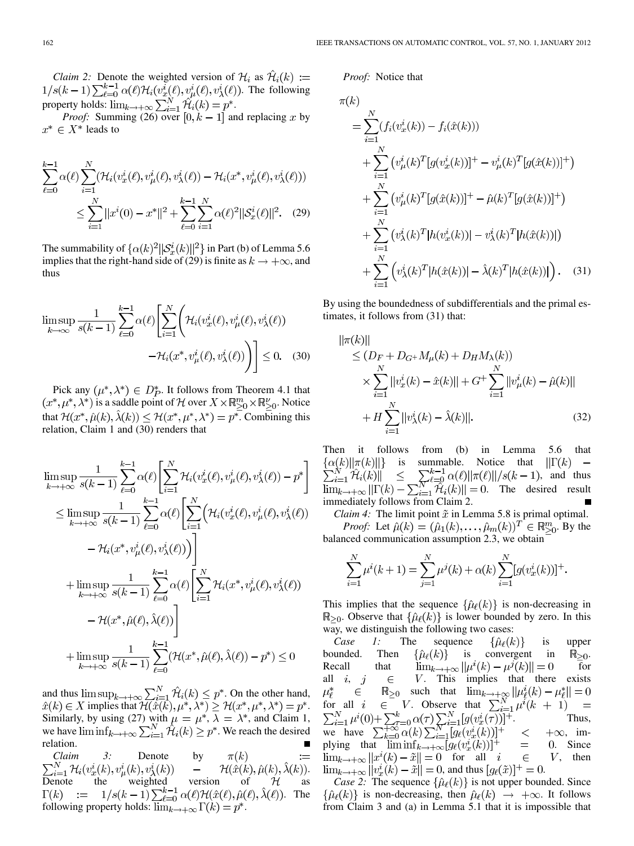*Claim 2:* Denote the weighted version of  $\mathcal{H}_i$  as  $\hat{\mathcal{H}}_i(k)$  :=  $1/s(k-1)\sum_{\ell=0}^{k-1}\alpha(\ell)\mathcal{H}_i(v_x^i(\ell),v_\mu^i(\ell),v_\lambda^i(\ell)).$  The following property holds:  $\lim_{k\to+\infty}\sum_{i=1}^N\mathcal{H}_i(k)=p^*$ .

*Proof:* Summing (26) over  $[0, k - 1]$  and replacing x by  $x^* \in X^*$  leads to

$$
\sum_{\ell=0}^{k-1} \alpha(\ell) \sum_{i=1}^{N} (\mathcal{H}_i(v_x^i(\ell), v_\mu^i(\ell), v_\lambda^i(\ell)) - \mathcal{H}_i(x^*, v_\mu^i(\ell), v_\lambda^i(\ell)))
$$
  

$$
\leq \sum_{i=1}^{N} ||x^i(0) - x^*||^2 + \sum_{\ell=0}^{k-1} \sum_{i=1}^{N} \alpha(\ell)^2 ||\mathcal{S}_x^i(\ell)||^2. (29)
$$

The summability of  $\{\alpha(k)^2||\mathcal{S}_x^i(k)||^2\}$  in Part (b) of Lemma 5.6 implies that the right-hand side of (29) is finite as  $k \to +\infty$ , and thus

$$
\limsup_{k \to \infty} \frac{1}{s(k-1)} \sum_{\ell=0}^{k-1} \alpha(\ell) \left[ \sum_{i=1}^{N} \left( \mathcal{H}_i(v_x^i(\ell), v_\mu^i(\ell), v_\lambda^i(\ell)) - \mathcal{H}_i(x^*, v_\mu^i(\ell), v_\lambda^i(\ell)) \right) \right] \le 0. \quad (30)
$$

Pick any  $(\mu^*, \lambda^*) \in D_P^*$ . It follows from Theorem 4.1 that  $(x^*, \mu^*, \lambda^*)$  is a saddle point of  $\mathcal H$  over  $X \times \mathbb R^m_{\geq 0} \times \mathbb R^{\nu}_{\geq 0}$ . Notice that  $\mathcal{H}(x^*, \hat{\mu}(k), \hat{\lambda}(k)) \leq \mathcal{H}(x^*, \mu^*, \lambda^*) = p^*$ . Combining this relation, Claim 1 and (30) renders that

$$
\limsup_{k \to +\infty} \frac{1}{s(k-1)} \sum_{\ell=0}^{k-1} \alpha(\ell) \left[ \sum_{i=1}^N \mathcal{H}_i(v_x^i(\ell), v_\mu^i(\ell), v_\lambda^i(\ell)) - p^* \right]
$$
\n
$$
\leq \limsup_{k \to +\infty} \frac{1}{s(k-1)} \sum_{\ell=0}^{k-1} \alpha(\ell) \left[ \sum_{i=1}^N \left( \mathcal{H}_i(v_x^i(\ell), v_\mu^i(\ell), v_\lambda^i(\ell)) - \mathcal{H}_i(x^*, v_\mu^i(\ell), v_\lambda^i(\ell)) \right) \right]
$$
\n
$$
+ \limsup_{k \to +\infty} \frac{1}{s(k-1)} \sum_{\ell=0}^{k-1} \alpha(\ell) \left[ \sum_{i=1}^N \mathcal{H}_i(x^*, v_\mu^i(\ell), v_\lambda^i(\ell)) - \mathcal{H}(x^*, \hat{\mu}(\ell), \hat{\lambda}(\ell)) \right]
$$
\n
$$
+ \limsup_{k \to +\infty} \frac{1}{s(k-1)} \sum_{\ell=0}^{k-1} (\mathcal{H}(x^*, \hat{\mu}(\ell), \hat{\lambda}(\ell)) - p^*) \leq 0
$$

and thus  $\limsup_{k\to\infty}\sum_{i=1}^N\mathcal{H}_i(k)\leq p^*$ . On the other hand, implies that  $\mathcal{H}(\hat{x}(k), \mu^*, \lambda^*) \geq \mathcal{H}(x^*, \mu^*, \lambda^*) = p^*$ . Similarly, by using (27) with  $\mu = \mu^*, \lambda = \lambda^*$ , and Claim 1, we have  $\liminf_{k\to+\infty}\sum_{i=1}^N\mathcal{H}_i(k)\geq p^*$ . We reach the desired relation.

*Claim 3:* Denote by  $\sum_{i=1}^{N} \mathcal{H}_i(v_x^i(k), v_\mu^i(k), v_\lambda^i(k))$  –  $\pi(k)$  $:=$  $\equiv$  $\mathcal{H}(\hat{x}(k), \hat{\mu}(k), \hat{\lambda}(k)).$ Denote the weighted version of  $H$  as . The following property holds:  $\lim_{k \to +\infty} \Gamma(k) = p^*$ .

*Proof:* Notice that

$$
\pi(k) = \sum_{i=1}^{N} (f_i(v_x^i(k)) - f_i(\hat{x}(k)))
$$
  
+ 
$$
\sum_{i=1}^{N} (v_\mu^i(k)^T [g(v_x^i(k))]^+ - v_\mu^i(k)^T [g(\hat{x}(k))]^+)
$$
  
+ 
$$
\sum_{i=1}^{N} (v_\mu^i(k)^T [g(\hat{x}(k))]^+ - \hat{\mu}(k)^T [g(\hat{x}(k))]^+)
$$
  
+ 
$$
\sum_{i=1}^{N} (v_\lambda^i(k)^T |h(v_x^i(k))| - v_\lambda^i(k)^T |h(\hat{x}(k))|)
$$
  
+ 
$$
\sum_{i=1}^{N} (v_\lambda^i(k)^T |h(\hat{x}(k))| - \hat{\lambda}(k)^T |h(\hat{x}(k))|).
$$
 (31)

By using the boundedness of subdifferentials and the primal estimates, it follows from (31) that:

$$
\|\pi(k)\| \le (D_F + D_{G^+} M_\mu(k) + D_H M_\lambda(k))
$$
  
 
$$
\times \sum_{i=1}^N \|v_x^i(k) - \hat{x}(k)\| + G^+ \sum_{i=1}^N \|v_\mu^i(k) - \hat{\mu}(k)\|
$$
  
 
$$
+ H \sum_{i=1}^N \|v_\lambda^i(k) - \hat{\lambda}(k)\|.
$$
 (32)

Then it follows from (b) in Lemma 5.6 that  $\{\alpha(k)\|\pi(k)\|\}\$ is summable. Notice that  $\|\Gamma(k)\|$ , and thus . The desired result immediately follows from Claim 2.

*Claim 4:* The limit point  $\tilde{x}$  in Lemma 5.8 is primal optimal. *Proof:* Let  $\hat{\mu}(k) = (\hat{\mu}_1(k), \dots, \hat{\mu}_m(k))^T \in \mathbb{R}_{\geq 0}^m$ . By the balanced communication assumption 2.3, we obtain

$$
\sum_{i=1}^{N} \mu^{i}(k+1) = \sum_{j=1}^{N} \mu^{j}(k) + \alpha(k) \sum_{i=1}^{N} [g(v_x^{i}(k))]^{+}.
$$

This implies that the sequence  $\{\hat{\mu}_{\ell}(k)\}\)$  is non-decreasing in  $\mathbb{R}_{\geq 0}$ . Observe that  $\{\hat{\mu}_{\ell}(k)\}\$ is lower bounded by zero. In this way, we distinguish the following two cases:

*Case 1:* The sequence  $\{\hat{\mu}_{\ell}(k)\}$  is upper bounded. Then  $\{\hat{\mu}_{\ell}(k)\}$  is convergent in  $\mathbb{R}_{\geq 0}$ . Recall that  $\lim_{k \to +\infty} ||\mu^{i}(k) - \mu^{j}(k)|| = 0$  for all  $i, j \in V$ . This implies that there exists such that for all  $i \in V$ . Observe that . Thus, we have  $\sum_{k=0}^{+\infty} \alpha(k) \sum_{i=1}^{N} [g_{\ell}(v_x^i(k))]^+$  <  $+\infty$ , implying that  $\liminf_{k\to+\infty}[g_{\ell}(v_x^i(k))]^+=0$ . Since for all  $i \in V$ , then  $\begin{array}{l} \lim_{k\rightarrow+\infty}\|x^i(k)-\tilde x\|=0\quad \mbox{for\quad all}\quad i\quad\in\\ \lim_{k\rightarrow+\infty}\|v^i_x(k)-\tilde x\|=0\mbox{, and thus }[g_\ell(\tilde x)]^+=0. \end{array}$ 

*Case 2:* The sequence  $\{\hat{\mu}_{\ell}(k)\}\$ is not upper bounded. Since  $\{\hat{\mu}_{\ell}(k)\}\$ is non-decreasing, then  $\hat{\mu}_{\ell}(k) \rightarrow +\infty$ . It follows from Claim 3 and (a) in Lemma 5.1 that it is impossible that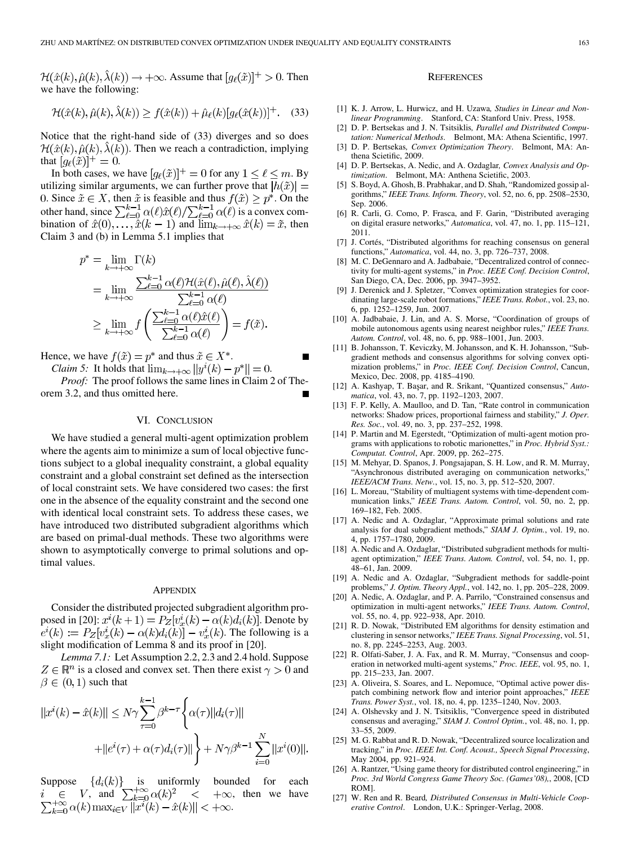$\mathcal{H}(\hat{x}(k), \hat{\mu}(k), \hat{\lambda}(k)) \rightarrow +\infty$ . Assume that  $[q_{\ell}(\tilde{x})]^+ > 0$ . Then we have the following:

$$
\mathcal{H}(\hat{x}(k),\hat{\mu}(k),\hat{\lambda}(k)) \ge f(\hat{x}(k)) + \hat{\mu}_{\ell}(k)[g_{\ell}(\hat{x}(k))]^{+}.
$$
 (33)

Notice that the right-hand side of (33) diverges and so does  $\mathcal{H}(\hat{x}(k), \hat{\mu}(k), \lambda(k))$ . Then we reach a contradiction, implying that  $[q_\ell(\tilde{x})]^+ = 0$ .

In both cases, we have  $[g_{\ell}(\tilde{x})]^+=0$  for any  $1 \leq \ell \leq m$ . By utilizing similar arguments, we can further prove that  $|h(\tilde{x})| =$ . Since  $\tilde{x} \in X$ , then  $\tilde{x}$  is feasible and thus  $f(\tilde{x}) \geq p^*$ . On the other hand, since  $\sum_{\ell=0}^{k-1} \alpha(\ell) \hat{x}(\ell) / \sum_{\ell=0}^{k-1} \alpha(\ell)$  is a convex combination of  $\hat{x}(0), \ldots, \hat{x}(k-1)$  and  $\lim_{k \to +\infty} \hat{x}(k) = \tilde{x}$ , then Claim 3 and (b) in Lemma 5.1 implies that

$$
p^* = \lim_{k \to +\infty} \Gamma(k)
$$
  
= 
$$
\lim_{k \to +\infty} \frac{\sum_{\ell=0}^{k-1} \alpha(\ell) \mathcal{H}(\hat{x}(\ell), \hat{\mu}(\ell), \hat{\lambda}(\ell))}{\sum_{\ell=0}^{k-1} \alpha(\ell)}
$$
  

$$
\geq \lim_{k \to +\infty} f\left(\frac{\sum_{\ell=0}^{k-1} \alpha(\ell) \hat{x}(\ell)}{\sum_{\ell=0}^{k-1} \alpha(\ell)}\right) = f(\tilde{x}).
$$

Hence, we have  $f(\tilde{x}) = p^*$  and thus  $\tilde{x} \in X^*$ . *Claim 5:* It holds that  $\lim_{k \to +\infty} ||y^{i}(k) - p^{*}|| = 0$ .

*Proof:* The proof follows the same lines in Claim 2 of Theorem 3.2, and thus omitted here.

# VI. CONCLUSION

We have studied a general multi-agent optimization problem where the agents aim to minimize a sum of local objective functions subject to a global inequality constraint, a global equality constraint and a global constraint set defined as the intersection of local constraint sets. We have considered two cases: the first one in the absence of the equality constraint and the second one with identical local constraint sets. To address these cases, we have introduced two distributed subgradient algorithms which are based on primal-dual methods. These two algorithms were shown to asymptotically converge to primal solutions and optimal values.

#### APPENDIX

Consider the distributed projected subgradient algorithm proposed in [20]:  $x^{i}(k + 1) = P_{Z}[v_{x}^{i}(k) - \alpha(k)d_{i}(k)]$ . Denote by  $e^{i}(k) := P_{Z}[v_x^{i}(k) - \alpha(k)d_i(k)] - v_x^{i}(k)$ . The following is a slight modification of Lemma 8 and its proof in [20].

*Lemma 7.1:* Let Assumption 2.2, 2.3 and 2.4 hold. Suppose  $Z \in \mathbb{R}^n$  is a closed and convex set. Then there exist  $\gamma > 0$  and  $\beta \in (0,1)$  such that

$$
||x^{i}(k) - \hat{x}(k)|| \le N\gamma \sum_{\tau=0}^{k-1} \beta^{k-\tau} \left\{ \alpha(\tau) ||d_{i}(\tau)|| + ||e^{i}(\tau) + \alpha(\tau)d_{i}(\tau)|| \right\} + N\gamma \beta^{k-1} \sum_{i=0}^{N} ||x^{i}(0)||.
$$

Suppose  $\{d_i(k)\}\$  is uniformly bounded for each , and  $\sum_{k=0}^{+\infty} \alpha(k)^2$  <  $+\infty$ , then we have .

#### **REFERENCES**

- [1] K. J. Arrow, L. Hurwicz, and H. Uzawa*, Studies in Linear and Nonlinear Programming*. Stanford, CA: Stanford Univ. Press, 1958.
- [2] D. P. Bertsekas and J. N. Tsitsiklis*, Parallel and Distributed Computation: Numerical Methods*. Belmont, MA: Athena Scientific, 1997.
- [3] D. P. Bertsekas*, Convex Optimization Theory*. Belmont, MA: Anthena Scietific, 2009.
- [4] D. P. Bertsekas, A. Nedic, and A. Ozdaglar*, Convex Analysis and Optimization*. Belmont, MA: Anthena Scietific, 2003.
- [5] S. Boyd, A. Ghosh, B. Prabhakar, and D. Shah, "Randomized gossip algorithms," *IEEE Trans. Inform. Theory*, vol. 52, no. 6, pp. 2508–2530, Sep. 2006.
- [6] R. Carli, G. Como, P. Frasca, and F. Garin, "Distributed averaging on digital erasure networks," *Automatica*, vol. 47, no. 1, pp. 115–121, 2011.
- [7] J. Cortés, "Distributed algorithms for reaching consensus on general functions," *Automatica*, vol. 44, no. 3, pp. 726–737, 2008.
- [8] M. C. DeGennaro and A. Jadbabaie, "Decentralized control of connectivity for multi-agent systems," in *Proc. IEEE Conf. Decision Control*, San Diego, CA, Dec. 2006, pp. 3947–3952.
- [9] J. Derenick and J. Spletzer, "Convex optimization strategies for coordinating large-scale robot formations," *IEEE Trans. Robot.*, vol. 23, no. 6, pp. 1252–1259, Jun. 2007.
- [10] A. Jadbabaie, J. Lin, and A. S. Morse, "Coordination of groups of mobile autonomous agents using nearest neighbor rules," *IEEE Trans. Autom. Control*, vol. 48, no. 6, pp. 988–1001, Jun. 2003.
- [11] B. Johansson, T. Keviczky, M. Johansson, and K. H. Johansson, "Subgradient methods and consensus algorithms for solving convex optimization problems," in *Proc. IEEE Conf. Decision Control*, Cancun, Mexico, Dec. 2008, pp. 4185–4190.
- [12] A. Kashyap, T. Başar, and R. Srikant, "Quantized consensus," Auto*matica*, vol. 43, no. 7, pp. 1192–1203, 2007.
- [13] F. P. Kelly, A. Maulloo, and D. Tan, "Rate control in communication networks: Shadow prices, proportional fairness and stability," *J. Oper. Res. Soc.*, vol. 49, no. 3, pp. 237–252, 1998.
- [14] P. Martin and M. Egerstedt, "Optimization of multi-agent motion programs with applications to robotic marionettes," in *Proc. Hybrid Syst.: Computat. Control*, Apr. 2009, pp. 262–275.
- [15] M. Mehyar, D. Spanos, J. Pongsajapan, S. H. Low, and R. M. Murray, "Asynchronous distributed averaging on communication networks," *IEEE/ACM Trans. Netw.*, vol. 15, no. 3, pp. 512–520, 2007.
- [16] L. Moreau, "Stability of multiagent systems with time-dependent communication links," *IEEE Trans. Autom. Control*, vol. 50, no. 2, pp. 169–182, Feb. 2005.
- [17] A. Nedic and A. Ozdaglar, "Approximate primal solutions and rate analysis for dual subgradient methods," *SIAM J. Optim.*, vol. 19, no. 4, pp. 1757–1780, 2009.
- [18] A. Nedic and A. Ozdaglar, "Distributed subgradient methods for multiagent optimization," *IEEE Trans. Autom. Control*, vol. 54, no. 1, pp. 48–61, Jan. 2009.
- [19] A. Nedic and A. Ozdaglar, "Subgradient methods for saddle-point problems," *J. Optim. Theory Appl.*, vol. 142, no. 1, pp. 205–228, 2009.
- [20] A. Nedic, A. Ozdaglar, and P. A. Parrilo, "Constrained consensus and optimization in multi-agent networks," *IEEE Trans. Autom. Control*, vol. 55, no. 4, pp. 922–938, Apr. 2010.
- [21] R. D. Nowak, "Distributed EM algorithms for density estimation and clustering in sensor networks," *IEEE Trans. Signal Processing*, vol. 51, no. 8, pp. 2245–2253, Aug. 2003.
- [22] R. Olfati-Saber, J. A. Fax, and R. M. Murray, "Consensus and cooperation in networked multi-agent systems," *Proc. IEEE*, vol. 95, no. 1, pp. 215–233, Jan. 2007.
- [23] A. Oliveira, S. Soares, and L. Nepomuce, "Optimal active power dispatch combining network flow and interior point approaches," *IEEE Trans. Power Syst.*, vol. 18, no. 4, pp. 1235–1240, Nov. 2003.
- [24] A. Olshevsky and J. N. Tsitsiklis, "Convergence speed in distributed consensus and averaging," *SIAM J. Control Optim.*, vol. 48, no. 1, pp. 33–55, 2009.
- [25] M. G. Rabbat and R. D. Nowak, "Decentralized source localization and tracking," in *Proc. IEEE Int. Conf. Acoust., Speech Signal Processing*, May 2004, pp. 921–924.
- [26] A. Rantzer, "Using game theory for distributed control engineering," in *Proc. 3rd World Congress Game Theory Soc. (Games'08),*, 2008, [CD ROM].
- [27] W. Ren and R. Beard*, Distributed Consensus in Multi-Vehicle Cooperative Control*. London, U.K.: Springer-Verlag, 2008.